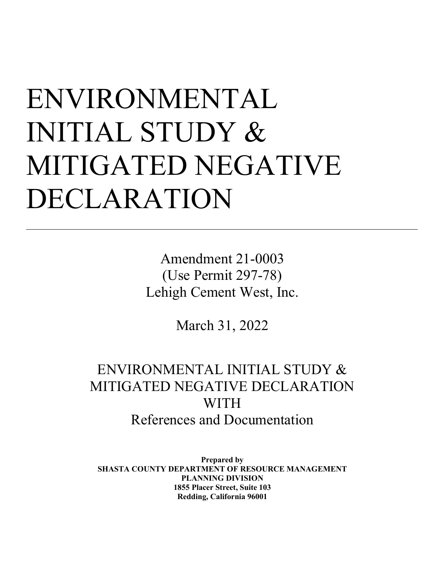# ENVIRONMENTAL INITIAL STUDY & MITIGATED NEGATIVE DECLARATION

l

Amendment 21-0003 (Use Permit 297-78) Lehigh Cement West, Inc.

March 31, 2022

## ENVIRONMENTAL INITIAL STUDY & MITIGATED NEGATIVE DECLARATION WITH References and Documentation

**Prepared by SHASTA COUNTY DEPARTMENT OF RESOURCE MANAGEMENT PLANNING DIVISION 1855 Placer Street, Suite 103 Redding, California 96001**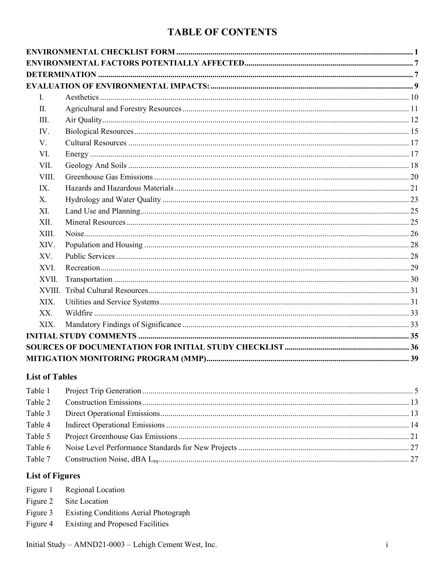## **TABLE OF CONTENTS**

| $\mathbf{I}$<br>II. |  |
|---------------------|--|
|                     |  |
|                     |  |
|                     |  |
|                     |  |
|                     |  |
| III.                |  |
| IV.                 |  |
| $V_{\cdot}$         |  |
| VI.                 |  |
| VII.                |  |
| VIII.               |  |
| IX.                 |  |
| X.                  |  |
| XI.                 |  |
| XII.                |  |
| XIII.               |  |
| XIV.                |  |
| XV.                 |  |
| XVI.                |  |
| XVII.               |  |
| XVIII.              |  |
| XIX.                |  |
| XX.                 |  |
| XIX.                |  |
|                     |  |
|                     |  |
|                     |  |

## **List of Tables**

## **List of Figures**

| Figure 1 Regional Location                     |
|------------------------------------------------|
| Figure 2 Site Location                         |
| Figure 3 Existing Conditions Aerial Photograph |

Figure 4 Existing and Proposed Facilities

Initial Study -  $AMND21-0003$  - Lehigh Cement West, Inc.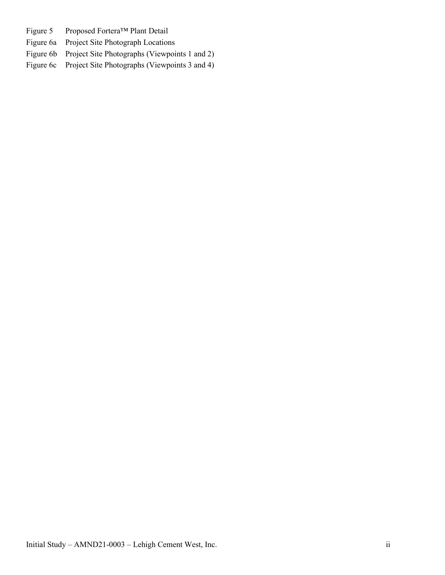- Figure 5 Proposed Fortera™ Plant Detail
- Figure 6a Project Site Photograph Locations
- Figure 6b Project Site Photographs (Viewpoints 1 and 2)
- Figure 6c Project Site Photographs (Viewpoints 3 and 4)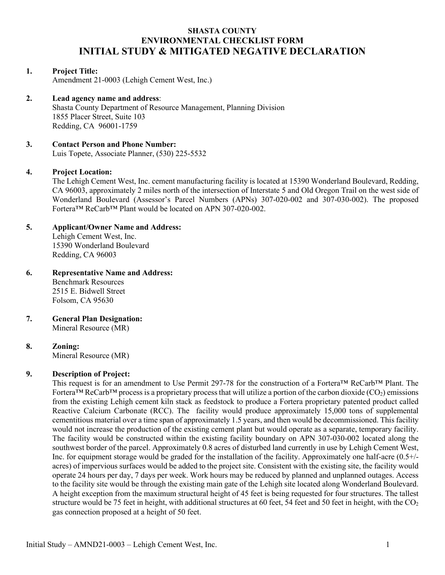## **SHASTA COUNTY ENVIRONMENTAL CHECKLIST FORM INITIAL STUDY & MITIGATED NEGATIVE DECLARATION**

## **1. Project Title:**

Amendment 21-0003 (Lehigh Cement West, Inc.)

## **2. Lead agency name and address**:

Shasta County Department of Resource Management, Planning Division 1855 Placer Street, Suite 103 Redding, CA 96001-1759

## **3. Contact Person and Phone Number:**

Luis Topete, Associate Planner, (530) 225-5532

## **4. Project Location:**

The Lehigh Cement West, Inc. cement manufacturing facility is located at 15390 Wonderland Boulevard, Redding, CA 96003, approximately 2 miles north of the intersection of Interstate 5 and Old Oregon Trail on the west side of Wonderland Boulevard (Assessor's Parcel Numbers (APNs) 307-020-002 and 307-030-002). The proposed Fortera™ ReCarb™ Plant would be located on APN 307-020-002.

## **5. Applicant/Owner Name and Address:**

Lehigh Cement West, Inc. 15390 Wonderland Boulevard Redding, CA 96003

## **6. Representative Name and Address:**

Benchmark Resources 2515 E. Bidwell Street Folsom, CA 95630

#### **7. General Plan Designation:**  Mineral Resource (MR)

## **8. Zoning:**

Mineral Resource (MR)

## **9. Description of Project:**

This request is for an amendment to Use Permit 297-78 for the construction of a Fortera™ ReCarb™ Plant. The Fortera<sup>TM</sup> ReCarb<sup>TM</sup> process is a proprietary process that will utilize a portion of the carbon dioxide (CO<sub>2</sub>) emissions from the existing Lehigh cement kiln stack as feedstock to produce a Fortera proprietary patented product called Reactive Calcium Carbonate (RCC). The facility would produce approximately 15,000 tons of supplemental cementitious material over a time span of approximately 1.5 years, and then would be decommissioned. This facility would not increase the production of the existing cement plant but would operate as a separate, temporary facility. The facility would be constructed within the existing facility boundary on APN 307-030-002 located along the southwest border of the parcel. Approximately 0.8 acres of disturbed land currently in use by Lehigh Cement West, Inc. for equipment storage would be graded for the installation of the facility. Approximately one half-acre (0.5+/ acres) of impervious surfaces would be added to the project site. Consistent with the existing site, the facility would operate 24 hours per day, 7 days per week. Work hours may be reduced by planned and unplanned outages. Access to the facility site would be through the existing main gate of the Lehigh site located along Wonderland Boulevard. A height exception from the maximum structural height of 45 feet is being requested for four structures. The tallest structure would be 75 feet in height, with additional structures at 60 feet, 54 feet and 50 feet in height, with the  $CO<sub>2</sub>$ gas connection proposed at a height of 50 feet.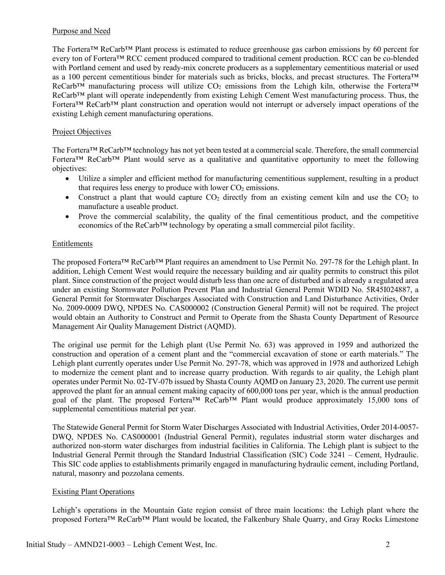## Purpose and Need

The Fortera™ ReCarb™ Plant process is estimated to reduce greenhouse gas carbon emissions by 60 percent for every ton of Fortera™ RCC cement produced compared to traditional cement production. RCC can be co-blended with Portland cement and used by ready-mix concrete producers as a supplementary cementitious material or used as a 100 percent cementitious binder for materials such as bricks, blocks, and precast structures. The Fortera™ ReCarb<sup>™</sup> manufacturing process will utilize  $CO_2$  emissions from the Lehigh kiln, otherwise the Fortera<sup>™</sup> ReCarb™ plant will operate independently from existing Lehigh Cement West manufacturing process. Thus, the Fortera™ ReCarb™ plant construction and operation would not interrupt or adversely impact operations of the existing Lehigh cement manufacturing operations.

## Project Objectives

The Fortera™ ReCarb™ technology has not yet been tested at a commercial scale. Therefore, the small commercial Fortera™ ReCarb™ Plant would serve as a qualitative and quantitative opportunity to meet the following objectives:

- Utilize a simpler and efficient method for manufacturing cementitious supplement, resulting in a product that requires less energy to produce with lower  $CO<sub>2</sub>$  emissions.
- Construct a plant that would capture  $CO<sub>2</sub>$  directly from an existing cement kiln and use the  $CO<sub>2</sub>$  to manufacture a useable product.
- Prove the commercial scalability, the quality of the final cementitious product, and the competitive economics of the  $ReCarb^{TM}$  technology by operating a small commercial pilot facility.

## Entitlements

The proposed Fortera™ ReCarb™ Plant requires an amendment to Use Permit No. 297-78 for the Lehigh plant. In addition, Lehigh Cement West would require the necessary building and air quality permits to construct this pilot plant. Since construction of the project would disturb less than one acre of disturbed and is already a regulated area under an existing Stormwater Pollution Prevent Plan and Industrial General Permit WDID No. 5R45I024887, a General Permit for Stormwater Discharges Associated with Construction and Land Disturbance Activities, Order No. 2009-0009 DWQ, NPDES No. CAS000002 (Construction General Permit) will not be required. The project would obtain an Authority to Construct and Permit to Operate from the Shasta County Department of Resource Management Air Quality Management District (AQMD).

The original use permit for the Lehigh plant (Use Permit No. 63) was approved in 1959 and authorized the construction and operation of a cement plant and the "commercial excavation of stone or earth materials." The Lehigh plant currently operates under Use Permit No. 297-78, which was approved in 1978 and authorized Lehigh to modernize the cement plant and to increase quarry production. With regards to air quality, the Lehigh plant operates under Permit No. 02-TV-07b issued by Shasta County AQMD on January 23, 2020. The current use permit approved the plant for an annual cement making capacity of 600,000 tons per year, which is the annual production goal of the plant. The proposed Fortera™ ReCarb™ Plant would produce approximately 15,000 tons of supplemental cementitious material per year.

The Statewide General Permit for Storm Water Discharges Associated with Industrial Activities, Order 2014-0057- DWQ, NPDES No. CAS000001 (Industrial General Permit), regulates industrial storm water discharges and authorized non-storm water discharges from industrial facilities in California. The Lehigh plant is subject to the Industrial General Permit through the Standard Industrial Classification (SIC) Code 3241 – Cement, Hydraulic. This SIC code applies to establishments primarily engaged in manufacturing hydraulic cement, including Portland, natural, masonry and pozzolana cements.

## Existing Plant Operations

Lehigh's operations in the Mountain Gate region consist of three main locations: the Lehigh plant where the proposed Fortera™ ReCarb™ Plant would be located, the Falkenbury Shale Quarry, and Gray Rocks Limestone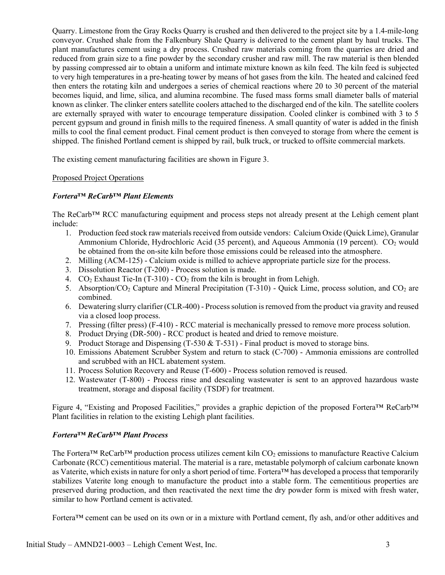Quarry. Limestone from the Gray Rocks Quarry is crushed and then delivered to the project site by a 1.4-mile-long conveyor. Crushed shale from the Falkenbury Shale Quarry is delivered to the cement plant by haul trucks. The plant manufactures cement using a dry process. Crushed raw materials coming from the quarries are dried and reduced from grain size to a fine powder by the secondary crusher and raw mill. The raw material is then blended by passing compressed air to obtain a uniform and intimate mixture known as kiln feed. The kiln feed is subjected to very high temperatures in a pre-heating tower by means of hot gases from the kiln. The heated and calcined feed then enters the rotating kiln and undergoes a series of chemical reactions where 20 to 30 percent of the material becomes liquid, and lime, silica, and alumina recombine. The fused mass forms small diameter balls of material known as clinker. The clinker enters satellite coolers attached to the discharged end of the kiln. The satellite coolers are externally sprayed with water to encourage temperature dissipation. Cooled clinker is combined with 3 to 5 percent gypsum and ground in finish mills to the required fineness. A small quantity of water is added in the finish mills to cool the final cement product. Final cement product is then conveyed to storage from where the cement is shipped. The finished Portland cement is shipped by rail, bulk truck, or trucked to offsite commercial markets.

The existing cement manufacturing facilities are shown in Figure 3.

## Proposed Project Operations

## *Fortera™ ReCarb™ Plant Elements*

The ReCarb™ RCC manufacturing equipment and process steps not already present at the Lehigh cement plant include:

- 1. Production feed stock raw materials received from outside vendors: Calcium Oxide (Quick Lime), Granular Ammonium Chloride, Hydrochloric Acid (35 percent), and Aqueous Ammonia (19 percent).  $CO<sub>2</sub>$  would be obtained from the on-site kiln before those emissions could be released into the atmosphere.
- 2. Milling (ACM-125) Calcium oxide is milled to achieve appropriate particle size for the process.
- 3. Dissolution Reactor (T-200) Process solution is made.
- 4.  $CO<sub>2</sub>$  Exhaust Tie-In (T-310)  $CO<sub>2</sub>$  from the kiln is brought in from Lehigh.
- 5. Absorption/CO2 Capture and Mineral Precipitation (T-310) Quick Lime, process solution, and CO2 are combined.
- 6. Dewatering slurry clarifier (CLR-400) Process solution is removed from the product via gravity and reused via a closed loop process.
- 7. Pressing (filter press) (F-410) RCC material is mechanically pressed to remove more process solution.
- 8. Product Drying (DR-500) RCC product is heated and dried to remove moisture.
- 9. Product Storage and Dispensing  $(T-530 \& T-531)$  Final product is moved to storage bins.
- 10. Emissions Abatement Scrubber System and return to stack (C-700) Ammonia emissions are controlled and scrubbed with an HCL abatement system.
- 11. Process Solution Recovery and Reuse (T-600) Process solution removed is reused.
- 12. Wastewater (T-800) Process rinse and descaling wastewater is sent to an approved hazardous waste treatment, storage and disposal facility (TSDF) for treatment.

Figure 4, "Existing and Proposed Facilities," provides a graphic depiction of the proposed Fortera™ ReCarb™ Plant facilities in relation to the existing Lehigh plant facilities.

## *Fortera™ ReCarb™ Plant Process*

The Fortera<sup>™</sup> ReCarb<sup>™</sup> production process utilizes cement kiln  $CO<sub>2</sub>$  emissions to manufacture Reactive Calcium Carbonate (RCC) cementitious material. The material is a rare, metastable polymorph of calcium carbonate known as Vaterite, which exists in nature for only a short period of time. Fortera™ has developed a process that temporarily stabilizes Vaterite long enough to manufacture the product into a stable form. The cementitious properties are preserved during production, and then reactivated the next time the dry powder form is mixed with fresh water, similar to how Portland cement is activated.

Fortera™ cement can be used on its own or in a mixture with Portland cement, fly ash, and/or other additives and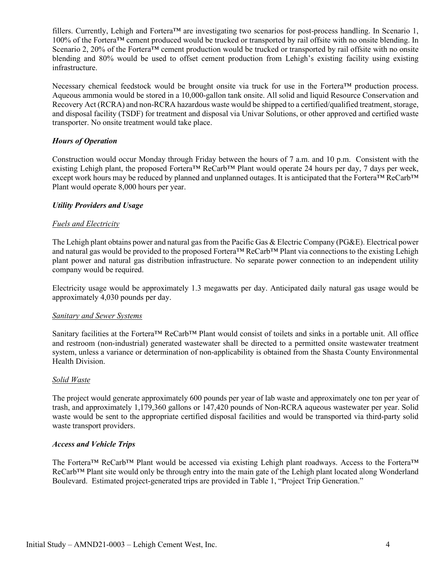fillers. Currently, Lehigh and Fortera<sup>™</sup> are investigating two scenarios for post-process handling. In Scenario 1, 100% of the Fortera™ cement produced would be trucked or transported by rail offsite with no onsite blending. In Scenario 2, 20% of the Fortera<sup>TM</sup> cement production would be trucked or transported by rail offsite with no onsite blending and 80% would be used to offset cement production from Lehigh's existing facility using existing infrastructure.

Necessary chemical feedstock would be brought onsite via truck for use in the Fortera™ production process. Aqueous ammonia would be stored in a 10,000-gallon tank onsite. All solid and liquid Resource Conservation and Recovery Act (RCRA) and non-RCRA hazardous waste would be shipped to a certified/qualified treatment, storage, and disposal facility (TSDF) for treatment and disposal via Univar Solutions, or other approved and certified waste transporter. No onsite treatment would take place.

## *Hours of Operation*

Construction would occur Monday through Friday between the hours of 7 a.m. and 10 p.m. Consistent with the existing Lehigh plant, the proposed Fortera™ ReCarb™ Plant would operate 24 hours per day, 7 days per week, except work hours may be reduced by planned and unplanned outages. It is anticipated that the Fortera™ ReCarb™ Plant would operate 8,000 hours per year.

## *Utility Providers and Usage*

#### *Fuels and Electricity*

The Lehigh plant obtains power and natural gas from the Pacific Gas & Electric Company (PG&E). Electrical power and natural gas would be provided to the proposed Fortera™ ReCarb™ Plant via connections to the existing Lehigh plant power and natural gas distribution infrastructure. No separate power connection to an independent utility company would be required.

Electricity usage would be approximately 1.3 megawatts per day. Anticipated daily natural gas usage would be approximately 4,030 pounds per day.

#### *Sanitary and Sewer Systems*

Sanitary facilities at the Fortera™ ReCarb™ Plant would consist of toilets and sinks in a portable unit. All office and restroom (non-industrial) generated wastewater shall be directed to a permitted onsite wastewater treatment system, unless a variance or determination of non-applicability is obtained from the Shasta County Environmental Health Division.

## *Solid Waste*

The project would generate approximately 600 pounds per year of lab waste and approximately one ton per year of trash, and approximately 1,179,360 gallons or 147,420 pounds of Non-RCRA aqueous wastewater per year. Solid waste would be sent to the appropriate certified disposal facilities and would be transported via third-party solid waste transport providers.

## *Access and Vehicle Trips*

<span id="page-6-0"></span>The Fortera™ ReCarb™ Plant would be accessed via existing Lehigh plant roadways. Access to the Fortera™ ReCarb™ Plant site would only be through entry into the main gate of the Lehigh plant located along Wonderland Boulevard. Estimated project-generated trips are provided in Table 1, "Project Trip Generation."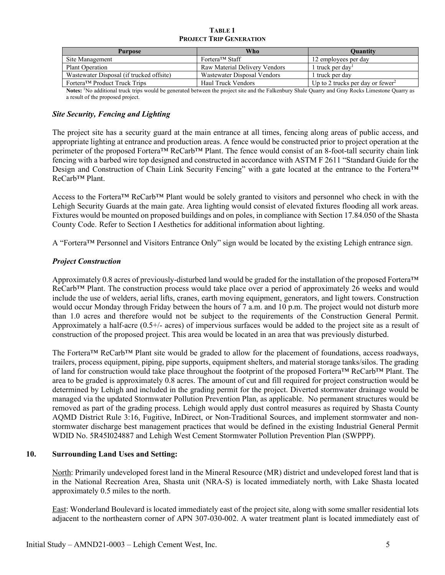| <b>TABLE 1</b>                 |  |  |  |  |  |
|--------------------------------|--|--|--|--|--|
| <b>PROJECT TRIP GENERATION</b> |  |  |  |  |  |

| Who<br>Purpose                           |                               | Ouantity                                     |
|------------------------------------------|-------------------------------|----------------------------------------------|
| Site Management                          | Fortera <sup>™</sup> Staff    | 12 employees per day                         |
| <b>Plant Operation</b>                   | Raw Material Delivery Vendors | 1 truck per day                              |
| Wastewater Disposal (if trucked offsite) | Wastewater Disposal Vendors   | 1 truck per day                              |
| Fortera™ Product Truck Trips             | Haul Truck Vendors            | Up to 2 trucks per day or fewer <sup>2</sup> |

Notes: <sup>1</sup>No additional truck trips would be generated between the project site and the Falkenbury Shale Quarry and Gray Rocks Limestone Quarry as a result of the proposed project.

## *Site Security, Fencing and Lighting*

The project site has a security guard at the main entrance at all times, fencing along areas of public access, and appropriate lighting at entrance and production areas. A fence would be constructed prior to project operation at the perimeter of the proposed Fortera™ ReCarb™ Plant. The fence would consist of an 8-foot-tall security chain link fencing with a barbed wire top designed and constructed in accordance with ASTM F 2611 "Standard Guide for the Design and Construction of Chain Link Security Fencing" with a gate located at the entrance to the Fortera™ ReCarb™ Plant.

Access to the Fortera™ ReCarb™ Plant would be solely granted to visitors and personnel who check in with the Lehigh Security Guards at the main gate. Area lighting would consist of elevated fixtures flooding all work areas. Fixtures would be mounted on proposed buildings and on poles, in compliance with Section 17.84.050 of the Shasta County Code. Refer to Section I Aesthetics for additional information about lighting.

A "Fortera™ Personnel and Visitors Entrance Only" sign would be located by the existing Lehigh entrance sign.

## *Project Construction*

Approximately 0.8 acres of previously-disturbed land would be graded for the installation of the proposed Fortera™ ReCarb™ Plant. The construction process would take place over a period of approximately 26 weeks and would include the use of welders, aerial lifts, cranes, earth moving equipment, generators, and light towers. Construction would occur Monday through Friday between the hours of 7 a.m. and 10 p.m. The project would not disturb more than 1.0 acres and therefore would not be subject to the requirements of the Construction General Permit. Approximately a half-acre (0.5+/- acres) of impervious surfaces would be added to the project site as a result of construction of the proposed project. This area would be located in an area that was previously disturbed.

The Fortera™ ReCarb™ Plant site would be graded to allow for the placement of foundations, access roadways, trailers, process equipment, piping, pipe supports, equipment shelters, and material storage tanks/silos. The grading of land for construction would take place throughout the footprint of the proposed Fortera™ ReCarb™ Plant. The area to be graded is approximately 0.8 acres. The amount of cut and fill required for project construction would be determined by Lehigh and included in the grading permit for the project. Diverted stormwater drainage would be managed via the updated Stormwater Pollution Prevention Plan, as applicable. No permanent structures would be removed as part of the grading process. Lehigh would apply dust control measures as required by Shasta County AQMD District Rule 3:16, Fugitive, InDirect, or Non-Traditional Sources, and implement stormwater and nonstormwater discharge best management practices that would be defined in the existing Industrial General Permit WDID No. 5R45I024887 and Lehigh West Cement Stormwater Pollution Prevention Plan (SWPPP).

## **10. Surrounding Land Uses and Setting:**

North: Primarily undeveloped forest land in the Mineral Resource (MR) district and undeveloped forest land that is in the National Recreation Area, Shasta unit (NRA-S) is located immediately north, with Lake Shasta located approximately 0.5 miles to the north.

East: Wonderland Boulevard is located immediately east of the project site, along with some smaller residential lots adjacent to the northeastern corner of APN 307-030-002. A water treatment plant is located immediately east of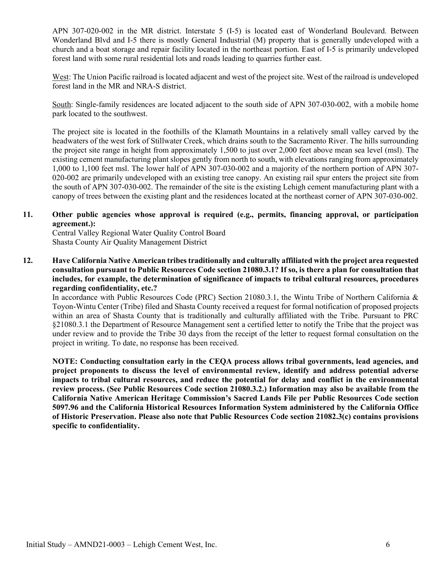APN 307-020-002 in the MR district. Interstate 5 (I-5) is located east of Wonderland Boulevard. Between Wonderland Blvd and I-5 there is mostly General Industrial (M) property that is generally undeveloped with a church and a boat storage and repair facility located in the northeast portion. East of I-5 is primarily undeveloped forest land with some rural residential lots and roads leading to quarries further east.

West: The Union Pacific railroad is located adjacent and west of the project site. West of the railroad is undeveloped forest land in the MR and NRA-S district.

South: Single-family residences are located adjacent to the south side of APN 307-030-002, with a mobile home park located to the southwest.

The project site is located in the foothills of the Klamath Mountains in a relatively small valley carved by the headwaters of the west fork of Stillwater Creek, which drains south to the Sacramento River. The hills surrounding the project site range in height from approximately 1,500 to just over 2,000 feet above mean sea level (msl). The existing cement manufacturing plant slopes gently from north to south, with elevations ranging from approximately 1,000 to 1,100 feet msl. The lower half of APN 307-030-002 and a majority of the northern portion of APN 307- 020-002 are primarily undeveloped with an existing tree canopy. An existing rail spur enters the project site from the south of APN 307-030-002. The remainder of the site is the existing Lehigh cement manufacturing plant with a canopy of trees between the existing plant and the residences located at the northeast corner of APN 307-030-002.

## **11. Other public agencies whose approval is required (e.g., permits, financing approval, or participation agreement.):**

Central Valley Regional Water Quality Control Board Shasta County Air Quality Management District

**12. Have California Native American tribes traditionally and culturally affiliated with the project area requested consultation pursuant to Public Resources Code section 21080.3.1? If so, is there a plan for consultation that includes, for example, the determination of significance of impacts to tribal cultural resources, procedures regarding confidentiality, etc.?**

In accordance with Public Resources Code (PRC) Section 21080.3.1, the Wintu Tribe of Northern California & Toyon-Wintu Center (Tribe) filed and Shasta County received a request for formal notification of proposed projects within an area of Shasta County that is traditionally and culturally affiliated with the Tribe. Pursuant to PRC §21080.3.1 the Department of Resource Management sent a certified letter to notify the Tribe that the project was under review and to provide the Tribe 30 days from the receipt of the letter to request formal consultation on the project in writing. To date, no response has been received.

**NOTE: Conducting consultation early in the CEQA process allows tribal governments, lead agencies, and project proponents to discuss the level of environmental review, identify and address potential adverse impacts to tribal cultural resources, and reduce the potential for delay and conflict in the environmental review process. (See Public Resources Code section 21080.3.2.) Information may also be available from the California Native American Heritage Commission's Sacred Lands File per Public Resources Code section 5097.96 and the California Historical Resources Information System administered by the California Office of Historic Preservation. Please also note that Public Resources Code section 21082.3(c) contains provisions specific to confidentiality.**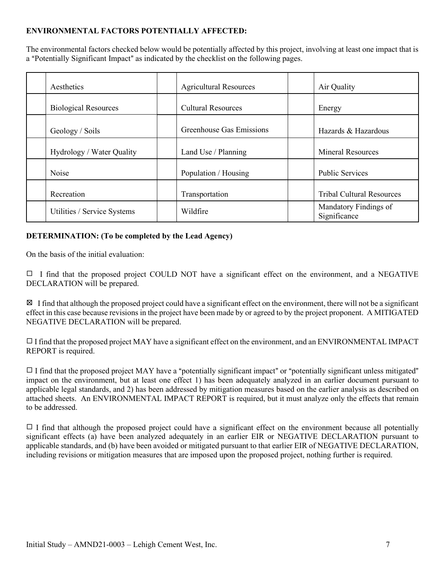## **ENVIRONMENTAL FACTORS POTENTIALLY AFFECTED:**

The environmental factors checked below would be potentially affected by this project, involving at least one impact that is a "Potentially Significant Impact" as indicated by the checklist on the following pages.

| Aesthetics                                               | <b>Agricultural Resources</b> | Air Quality                           |
|----------------------------------------------------------|-------------------------------|---------------------------------------|
| <b>Biological Resources</b><br><b>Cultural Resources</b> |                               | Energy                                |
| Geology / Soils                                          | Greenhouse Gas Emissions      | Hazards & Hazardous                   |
| Hydrology / Water Quality                                | Land Use / Planning           | <b>Mineral Resources</b>              |
| Noise                                                    | Population / Housing          | <b>Public Services</b>                |
| Recreation                                               | Transportation                | <b>Tribal Cultural Resources</b>      |
| Utilities / Service Systems                              | Wildfire                      | Mandatory Findings of<br>Significance |

## **DETERMINATION: (To be completed by the Lead Agency)**

On the basis of the initial evaluation:

 $\Box$  I find that the proposed project COULD NOT have a significant effect on the environment, and a NEGATIVE DECLARATION will be prepared.

 $\boxtimes$  I find that although the proposed project could have a significant effect on the environment, there will not be a significant effect in this case because revisions in the project have been made by or agreed to by the project proponent. A MITIGATED NEGATIVE DECLARATION will be prepared.

 $\Box$  I find that the proposed project MAY have a significant effect on the environment, and an ENVIRONMENTAL IMPACT REPORT is required.

 $\Box$  I find that the proposed project MAY have a "potentially significant impact" or "potentially significant unless mitigated" impact on the environment, but at least one effect 1) has been adequately analyzed in an earlier document pursuant to applicable legal standards, and 2) has been addressed by mitigation measures based on the earlier analysis as described on attached sheets. An ENVIRONMENTAL IMPACT REPORT is required, but it must analyze only the effects that remain to be addressed.

 $\Box$  I find that although the proposed project could have a significant effect on the environment because all potentially significant effects (a) have been analyzed adequately in an earlier EIR or NEGATIVE DECLARATION pursuant to applicable standards, and (b) have been avoided or mitigated pursuant to that earlier EIR of NEGATIVE DECLARATION, including revisions or mitigation measures that are imposed upon the proposed project, nothing further is required.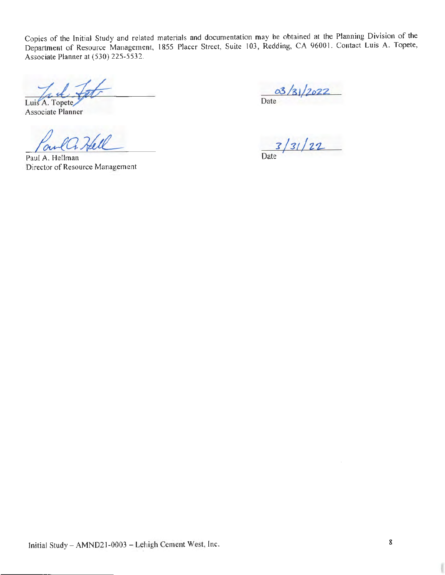Copies of the Initial Study and related materials and documentation may be obtained at the Planning Division of the Department of Resource Management, 1855 Placer Street, Suite I 03, Redding, CA 9600 I. Contact Luis A. Topete, Associate Planner at (530) 225-5532.

Luis A. Topete Pet *~\**

Associate Planner

*/4..ta;uL.-*

 $03/31/2022$ Date ' 7

<sup>7</sup>*/31/z,z.* 

Date

Paul A. Hellman Director of Resource Management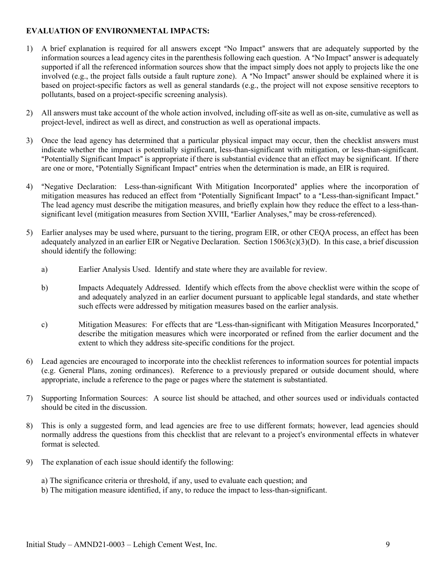## **EVALUATION OF ENVIRONMENTAL IMPACTS:**

- 1) A brief explanation is required for all answers except "No Impact" answers that are adequately supported by the information sources a lead agency cites in the parenthesis following each question. A "No Impact" answer is adequately supported if all the referenced information sources show that the impact simply does not apply to projects like the one involved (e.g., the project falls outside a fault rupture zone). A "No Impact" answer should be explained where it is based on project-specific factors as well as general standards (e.g., the project will not expose sensitive receptors to pollutants, based on a project-specific screening analysis).
- 2) All answers must take account of the whole action involved, including off-site as well as on-site, cumulative as well as project-level, indirect as well as direct, and construction as well as operational impacts.
- 3) Once the lead agency has determined that a particular physical impact may occur, then the checklist answers must indicate whether the impact is potentially significant, less-than-significant with mitigation, or less-than-significant. "Potentially Significant Impact" is appropriate if there is substantial evidence that an effect may be significant. If there are one or more, "Potentially Significant Impact" entries when the determination is made, an EIR is required.
- 4) "Negative Declaration: Less-than-significant With Mitigation Incorporated" applies where the incorporation of mitigation measures has reduced an effect from "Potentially Significant Impact" to a "Less-than-significant Impact." The lead agency must describe the mitigation measures, and briefly explain how they reduce the effect to a less-thansignificant level (mitigation measures from Section XVIII, "Earlier Analyses," may be cross-referenced).
- 5) Earlier analyses may be used where, pursuant to the tiering, program EIR, or other CEQA process, an effect has been adequately analyzed in an earlier EIR or Negative Declaration. Section  $15063(c)(3)(D)$ . In this case, a brief discussion should identify the following:
	- a) Earlier Analysis Used. Identify and state where they are available for review.
	- b) Impacts Adequately Addressed. Identify which effects from the above checklist were within the scope of and adequately analyzed in an earlier document pursuant to applicable legal standards, and state whether such effects were addressed by mitigation measures based on the earlier analysis.
	- c) Mitigation Measures: For effects that are "Less-than-significant with Mitigation Measures Incorporated," describe the mitigation measures which were incorporated or refined from the earlier document and the extent to which they address site-specific conditions for the project.
- 6) Lead agencies are encouraged to incorporate into the checklist references to information sources for potential impacts (e.g. General Plans, zoning ordinances). Reference to a previously prepared or outside document should, where appropriate, include a reference to the page or pages where the statement is substantiated.
- 7) Supporting Information Sources: A source list should be attached, and other sources used or individuals contacted should be cited in the discussion.
- 8) This is only a suggested form, and lead agencies are free to use different formats; however, lead agencies should normally address the questions from this checklist that are relevant to a project's environmental effects in whatever format is selected.
- 9) The explanation of each issue should identify the following:
	- a) The significance criteria or threshold, if any, used to evaluate each question; and
	- b) The mitigation measure identified, if any, to reduce the impact to less-than-significant.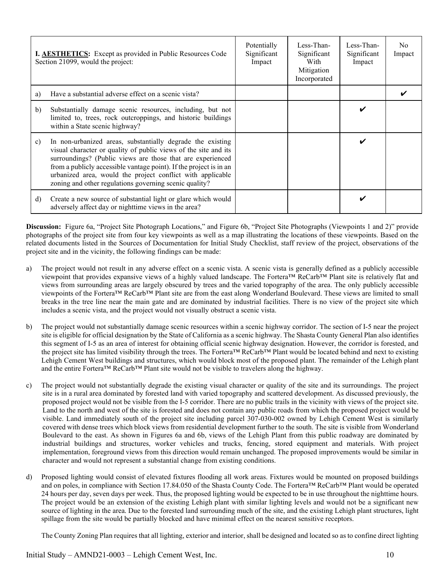|              | I. <b>AESTHETICS:</b> Except as provided in Public Resources Code<br>Section 21099, would the project:                                                                                                                                                                                                                                                                                    | Potentially<br>Significant<br>Impact | Less-Than-<br>Significant<br>With<br>Mitigation<br>Incorporated | Less-Than-<br>Significant<br>Impact | No.<br>Impact |
|--------------|-------------------------------------------------------------------------------------------------------------------------------------------------------------------------------------------------------------------------------------------------------------------------------------------------------------------------------------------------------------------------------------------|--------------------------------------|-----------------------------------------------------------------|-------------------------------------|---------------|
| a)           | Have a substantial adverse effect on a scenic vista?                                                                                                                                                                                                                                                                                                                                      |                                      |                                                                 |                                     |               |
| b)           | Substantially damage scenic resources, including, but not<br>limited to, trees, rock outcroppings, and historic buildings<br>within a State scenic highway?                                                                                                                                                                                                                               |                                      |                                                                 |                                     |               |
| $\mathbf{c}$ | In non-urbanized areas, substantially degrade the existing<br>visual character or quality of public views of the site and its<br>surroundings? (Public views are those that are experienced<br>from a publicly accessible vantage point). If the project is in an<br>urbanized area, would the project conflict with applicable<br>zoning and other regulations governing scenic quality? |                                      |                                                                 | v                                   |               |
| d)           | Create a new source of substantial light or glare which would<br>adversely affect day or nighttime views in the area?                                                                                                                                                                                                                                                                     |                                      |                                                                 |                                     |               |

**Discussion:** Figure 6a, "Project Site Photograph Locations," and Figure 6b, "Project Site Photographs (Viewpoints 1 and 2)" provide photographs of the project site from four key viewpoints as well as a map illustrating the locations of these viewpoints. Based on the related documents listed in the Sources of Documentation for Initial Study Checklist, staff review of the project, observations of the project site and in the vicinity, the following findings can be made:

- a) The project would not result in any adverse effect on a scenic vista. A scenic vista is generally defined as a publicly accessible viewpoint that provides expansive views of a highly valued landscape. The Fortera™ ReCarb™ Plant site is relatively flat and views from surrounding areas are largely obscured by trees and the varied topography of the area. The only publicly accessible viewpoints of the Fortera™ ReCarb™ Plant site are from the east along Wonderland Boulevard. These views are limited to small breaks in the tree line near the main gate and are dominated by industrial facilities. There is no view of the project site which includes a scenic vista, and the project would not visually obstruct a scenic vista.
- b) The project would not substantially damage scenic resources within a scenic highway corridor. The section of I-5 near the project site is eligible for official designation by the State of California as a scenic highway. The Shasta County General Plan also identifies this segment of I-5 as an area of interest for obtaining official scenic highway designation. However, the corridor is forested, and the project site has limited visibility through the trees. The Fortera™ ReCarb™ Plant would be located behind and next to existing Lehigh Cement West buildings and structures, which would block most of the proposed plant. The remainder of the Lehigh plant and the entire Fortera™ ReCarb™ Plant site would not be visible to travelers along the highway.
- c) The project would not substantially degrade the existing visual character or quality of the site and its surroundings. The project site is in a rural area dominated by forested land with varied topography and scattered development. As discussed previously, the proposed project would not be visible from the I-5 corridor. There are no public trails in the vicinity with views of the project site. Land to the north and west of the site is forested and does not contain any public roads from which the proposed project would be visible. Land immediately south of the project site including parcel 307-030-002 owned by Lehigh Cement West is similarly covered with dense trees which block views from residential development further to the south. The site is visible from Wonderland Boulevard to the east. As shown in Figures 6a and 6b, views of the Lehigh Plant from this public roadway are dominated by industrial buildings and structures, worker vehicles and trucks, fencing, stored equipment and materials. With project implementation, foreground views from this direction would remain unchanged. The proposed improvements would be similar in character and would not represent a substantial change from existing conditions.
- d) Proposed lighting would consist of elevated fixtures flooding all work areas. Fixtures would be mounted on proposed buildings and on poles, in compliance with Section 17.84.050 of the Shasta County Code. The Fortera™ ReCarb™ Plant would be operated 24 hours per day, seven days per week. Thus, the proposed lighting would be expected to be in use throughout the nighttime hours. The project would be an extension of the existing Lehigh plant with similar lighting levels and would not be a significant new source of lighting in the area. Due to the forested land surrounding much of the site, and the existing Lehigh plant structures, light spillage from the site would be partially blocked and have minimal effect on the nearest sensitive receptors.

The County Zoning Plan requires that all lighting, exterior and interior, shall be designed and located so as to confine direct lighting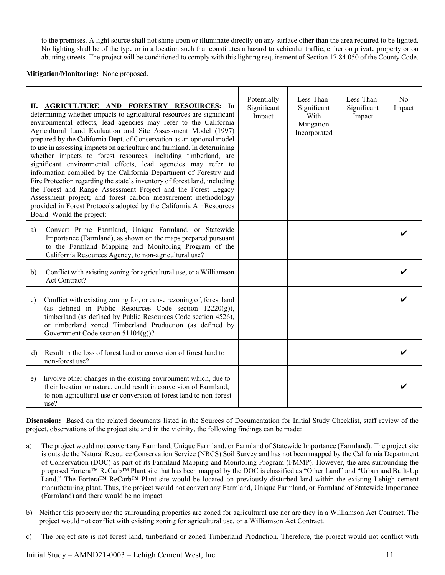to the premises. A light source shall not shine upon or illuminate directly on any surface other than the area required to be lighted. No lighting shall be of the type or in a location such that constitutes a hazard to vehicular traffic, either on private property or on abutting streets. The project will be conditioned to comply with this lighting requirement of Section 17.84.050 of the County Code.

#### **Mitigation/Monitoring:** None proposed.

|              | II. AGRICULTURE AND FORESTRY RESOURCES: In<br>determining whether impacts to agricultural resources are significant<br>environmental effects, lead agencies may refer to the California<br>Agricultural Land Evaluation and Site Assessment Model (1997)<br>prepared by the California Dept. of Conservation as an optional model<br>to use in assessing impacts on agriculture and farmland. In determining<br>whether impacts to forest resources, including timberland, are<br>significant environmental effects, lead agencies may refer to<br>information compiled by the California Department of Forestry and<br>Fire Protection regarding the state's inventory of forest land, including<br>the Forest and Range Assessment Project and the Forest Legacy<br>Assessment project; and forest carbon measurement methodology<br>provided in Forest Protocols adopted by the California Air Resources<br>Board. Would the project: | Potentially<br>Significant<br>Impact | Less-Than-<br>Significant<br>With<br>Mitigation<br>Incorporated | Less-Than-<br>Significant<br>Impact | N <sub>o</sub><br>Impact |
|--------------|------------------------------------------------------------------------------------------------------------------------------------------------------------------------------------------------------------------------------------------------------------------------------------------------------------------------------------------------------------------------------------------------------------------------------------------------------------------------------------------------------------------------------------------------------------------------------------------------------------------------------------------------------------------------------------------------------------------------------------------------------------------------------------------------------------------------------------------------------------------------------------------------------------------------------------------|--------------------------------------|-----------------------------------------------------------------|-------------------------------------|--------------------------|
| a)           | Convert Prime Farmland, Unique Farmland, or Statewide<br>Importance (Farmland), as shown on the maps prepared pursuant<br>to the Farmland Mapping and Monitoring Program of the<br>California Resources Agency, to non-agricultural use?                                                                                                                                                                                                                                                                                                                                                                                                                                                                                                                                                                                                                                                                                                 |                                      |                                                                 |                                     |                          |
| b)           | Conflict with existing zoning for agricultural use, or a Williamson<br>Act Contract?                                                                                                                                                                                                                                                                                                                                                                                                                                                                                                                                                                                                                                                                                                                                                                                                                                                     |                                      |                                                                 |                                     |                          |
| c)           | Conflict with existing zoning for, or cause rezoning of, forest land<br>(as defined in Public Resources Code section $12220(g)$ ),<br>timberland (as defined by Public Resources Code section 4526),<br>or timberland zoned Timberland Production (as defined by<br>Government Code section 51104(g))?                                                                                                                                                                                                                                                                                                                                                                                                                                                                                                                                                                                                                                   |                                      |                                                                 |                                     |                          |
| $\mathbf{d}$ | Result in the loss of forest land or conversion of forest land to<br>non-forest use?                                                                                                                                                                                                                                                                                                                                                                                                                                                                                                                                                                                                                                                                                                                                                                                                                                                     |                                      |                                                                 |                                     |                          |
| e)           | Involve other changes in the existing environment which, due to<br>their location or nature, could result in conversion of Farmland,<br>to non-agricultural use or conversion of forest land to non-forest<br>use?                                                                                                                                                                                                                                                                                                                                                                                                                                                                                                                                                                                                                                                                                                                       |                                      |                                                                 |                                     |                          |

**Discussion:** Based on the related documents listed in the Sources of Documentation for Initial Study Checklist, staff review of the project, observations of the project site and in the vicinity, the following findings can be made:

- a) The project would not convert any Farmland, Unique Farmland, or Farmland of Statewide Importance (Farmland). The project site is outside the Natural Resource Conservation Service (NRCS) Soil Survey and has not been mapped by the California Department of Conservation (DOC) as part of its Farmland Mapping and Monitoring Program (FMMP). However, the area surrounding the proposed Fortera™ ReCarb™ Plant site that has been mapped by the DOC is classified as "Other Land" and "Urban and Built-Up Land." The Fortera™ ReCarb™ Plant site would be located on previously disturbed land within the existing Lehigh cement manufacturing plant. Thus, the project would not convert any Farmland, Unique Farmland, or Farmland of Statewide Importance (Farmland) and there would be no impact.
- b) Neither this property nor the surrounding properties are zoned for agricultural use nor are they in a Williamson Act Contract. The project would not conflict with existing zoning for agricultural use, or a Williamson Act Contract.
- c) The project site is not forest land, timberland or zoned Timberland Production. Therefore, the project would not conflict with

Initial Study – AMND21-0003 – Lehigh Cement West, Inc. 11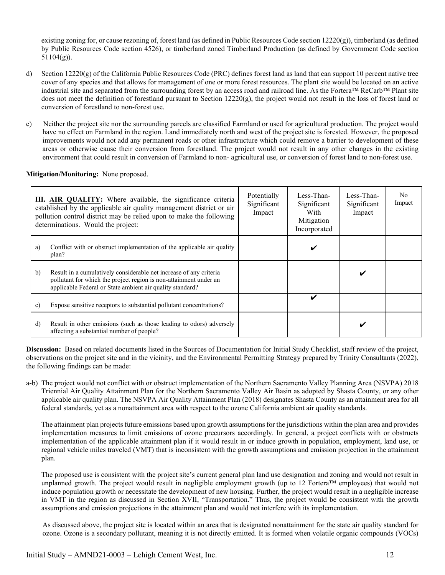existing zoning for, or cause rezoning of, forest land (as defined in Public Resources Code section 12220(g)), timberland (as defined by Public Resources Code section 4526), or timberland zoned Timberland Production (as defined by Government Code section 51104(g)).

- d) Section 12220(g) of the California Public Resources Code (PRC) defines forest land as land that can support 10 percent native tree cover of any species and that allows for management of one or more forest resources. The plant site would be located on an active industrial site and separated from the surrounding forest by an access road and railroad line. As the Fortera™ ReCarb™ Plant site does not meet the definition of forestland pursuant to Section 12220(g), the project would not result in the loss of forest land or conversion of forestland to non-forest use.
- e) Neither the project site nor the surrounding parcels are classified Farmland or used for agricultural production. The project would have no effect on Farmland in the region. Land immediately north and west of the project site is forested. However, the proposed improvements would not add any permanent roads or other infrastructure which could remove a barrier to development of these areas or otherwise cause their conversion from forestland. The project would not result in any other changes in the existing environment that could result in conversion of Farmland to non- agricultural use, or conversion of forest land to non-forest use.

**Mitigation/Monitoring:** None proposed.

|              | III. AIR QUALITY: Where available, the significance criteria<br>established by the applicable air quality management district or air<br>pollution control district may be relied upon to make the following<br>determinations. Would the project: | Potentially<br>Significant<br>Impact | Less-Than-<br>Significant<br>With<br>Mitigation<br>Incorporated | Less-Than-<br>Significant<br>Impact | No.<br>Impact |
|--------------|---------------------------------------------------------------------------------------------------------------------------------------------------------------------------------------------------------------------------------------------------|--------------------------------------|-----------------------------------------------------------------|-------------------------------------|---------------|
| a)           | Conflict with or obstruct implementation of the applicable air quality<br>plan?                                                                                                                                                                   |                                      |                                                                 |                                     |               |
| $\mathbf{b}$ | Result in a cumulatively considerable net increase of any criteria<br>pollutant for which the project region is non-attainment under an<br>applicable Federal or State ambient air quality standard?                                              |                                      |                                                                 |                                     |               |
| c)           | Expose sensitive receptors to substantial pollutant concentrations?                                                                                                                                                                               |                                      | ✓                                                               |                                     |               |
| d)           | Result in other emissions (such as those leading to odors) adversely<br>affecting a substantial number of people?                                                                                                                                 |                                      |                                                                 |                                     |               |

**Discussion:** Based on related documents listed in the Sources of Documentation for Initial Study Checklist, staff review of the project, observations on the project site and in the vicinity, and the Environmental Permitting Strategy prepared by Trinity Consultants (2022), the following findings can be made:

a-b) The project would not conflict with or obstruct implementation of the Northern Sacramento Valley Planning Area (NSVPA) 2018 Triennial Air Quality Attainment Plan for the Northern Sacramento Valley Air Basin as adopted by Shasta County, or any other applicable air quality plan. The NSVPA Air Quality Attainment Plan (2018) designates Shasta County as an attainment area for all federal standards, yet as a nonattainment area with respect to the ozone California ambient air quality standards.

The attainment plan projects future emissions based upon growth assumptions for the jurisdictions within the plan area and provides implementation measures to limit emissions of ozone precursors accordingly. In general, a project conflicts with or obstructs implementation of the applicable attainment plan if it would result in or induce growth in population, employment, land use, or regional vehicle miles traveled (VMT) that is inconsistent with the growth assumptions and emission projection in the attainment plan.

The proposed use is consistent with the project site's current general plan land use designation and zoning and would not result in unplanned growth. The project would result in negligible employment growth (up to 12 Fortera™ employees) that would not induce population growth or necessitate the development of new housing. Further, the project would result in a negligible increase in VMT in the region as discussed in Section XVII, "Transportation." Thus, the project would be consistent with the growth assumptions and emission projections in the attainment plan and would not interfere with its implementation.

As discussed above, the project site is located within an area that is designated nonattainment for the state air quality standard for ozone. Ozone is a secondary pollutant, meaning it is not directly emitted. It is formed when volatile organic compounds (VOCs)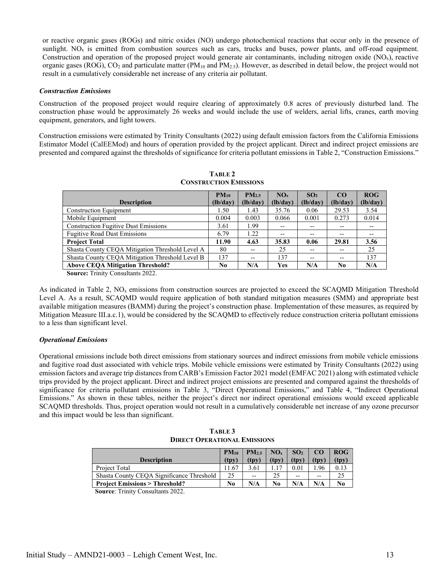or reactive organic gases (ROGs) and nitric oxides (NO) undergo photochemical reactions that occur only in the presence of sunlight.  $NO<sub>x</sub>$  is emitted from combustion sources such as cars, trucks and buses, power plants, and off-road equipment. Construction and operation of the proposed project would generate air contaminants, including nitrogen oxide  $(NO_x)$ , reactive organic gases (ROG),  $CO_2$  and particulate matter (PM<sub>10</sub> and PM<sub>2.5</sub>). However, as described in detail below, the project would not result in a cumulatively considerable net increase of any criteria air pollutant.

#### *Construction Emissions*

Construction of the proposed project would require clearing of approximately 0.8 acres of previously disturbed land. The construction phase would be approximately 26 weeks and would include the use of welders, aerial lifts, cranes, earth moving equipment, generators, and light towers.

<span id="page-15-0"></span>Construction emissions were estimated by Trinity Consultants (2022) using default emission factors from the California Emissions Estimator Model (CalEEMod) and hours of operation provided by the project applicant. Direct and indirect project emissions are presented and compared against the thresholds of significance for criteria pollutant emissions in Table 2, "Construction Emissions."

| CONSTRUCTION EMISSIONS                          |           |                   |                 |                 |          |          |  |  |
|-------------------------------------------------|-----------|-------------------|-----------------|-----------------|----------|----------|--|--|
|                                                 | $PM_{10}$ | PM <sub>2.5</sub> | NO <sub>x</sub> | SO <sub>2</sub> | CO       | ROG      |  |  |
| <b>Description</b>                              | (lb/day)  | (lb/day)          | (lb/day)        | (lb/day)        | (lb/day) | (lb/day) |  |  |
| <b>Construction Equipment</b>                   | 1.50      | 1.43              | 35.76           | 0.06            | 29.53    | 3.54     |  |  |
| Mobile Equipment                                | 0.004     | 0.003             | 0.066           | 0.001           | 0.273    | 0.014    |  |  |
| <b>Construction Fugitive Dust Emissions</b>     | 3.61      | 1.99              | $- -$           | --              | --       |          |  |  |
| <b>Fugitive Road Dust Emissions</b>             | 6.79      | 1.22              | $- -$           | --              | $- -$    | $- -$    |  |  |
| <b>Project Total</b>                            | 11.90     | 4.63              | 35.83           | 0.06            | 29.81    | 3.56     |  |  |
| Shasta County CEOA Mitigation Threshold Level A | 80        | $- -$             | 25              | $- -$           | $- -$    | 25       |  |  |
| Shasta County CEOA Mitigation Threshold Level B | 137       | $- -$             | 137             | $- -$           | $- -$    | 137      |  |  |
| <b>Above CEQA Mitigation Threshold?</b>         | No        | N/A               | Yes             | N/A             | No       | N/A      |  |  |

**TABLE 2 CONSTRUCTION EMISSIONS** 

**Source:** Trinity Consultants 2022.

As indicated in Table 2,  $NO<sub>x</sub>$  emissions from construction sources are projected to exceed the SCAQMD Mitigation Threshold Level A. As a result, SCAQMD would require application of both standard mitigation measures (SMM) and appropriate best available mitigation measures (BAMM) during the project's construction phase. Implementation of these measures, as required by Mitigation Measure III.a.c.1), would be considered by the SCAQMD to effectively reduce construction criteria pollutant emissions to a less than significant level.

#### *Operational Emissions*

Operational emissions include both direct emissions from stationary sources and indirect emissions from mobile vehicle emissions and fugitive road dust associated with vehicle trips. Mobile vehicle emissions were estimated by Trinity Consultants (2022) using emission factors and average trip distances from CARB's Emission Factor 2021 model (EMFAC 2021) along with estimated vehicle trips provided by the project applicant. Direct and indirect project emissions are presented and compared against the thresholds of significance for criteria pollutant emissions in Table 3, "Direct Operational Emissions," and Table 4, "Indirect Operational Emissions." As shown in these tables, neither the project's direct nor indirect operational emissions would exceed applicable SCAQMD thresholds. Thus, project operation would not result in a cumulatively considerable net increase of any ozone precursor and this impact would be less than significant.

| TABLE 3                             |
|-------------------------------------|
| <b>DIRECT OPERATIONAL EMISSIONS</b> |

<span id="page-15-1"></span>

| <b>Description</b>                        | $PM_{10}$<br>(tnv) | PM <sub>2.5</sub><br>(tpv | NO <sub>x</sub><br>(tnv) | SO <sub>2</sub><br>(tnv) | (tnv) | <b>ROG</b><br>(tpv |
|-------------------------------------------|--------------------|---------------------------|--------------------------|--------------------------|-------|--------------------|
| Project Total                             | 11.67              | 3.61                      |                          |                          | .96   | 0.13               |
| Shasta County CEOA Significance Threshold | 25                 | $- -$                     | 25                       | $- -$                    | $- -$ |                    |
| <b>Project Emissions &gt; Threshold?</b>  | No                 | N/A                       | N <sub>0</sub>           | N/A                      | N/A   | N <sub>0</sub>     |

**Source**: Trinity Consultants 2022.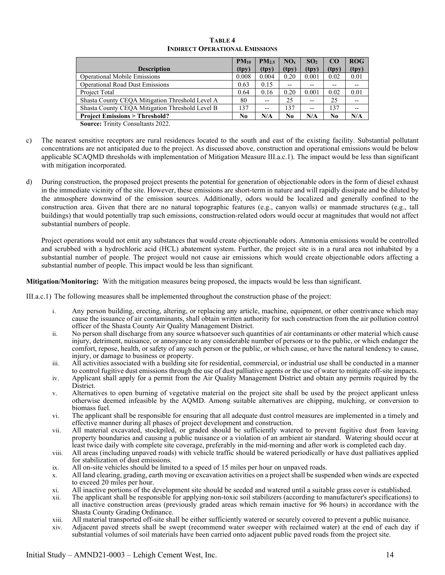<span id="page-16-0"></span>

|                                                 | $PM_{10}$      | PM <sub>2.5</sub> | NO <sub>x</sub> | SO <sub>2</sub> | CO    | ROG   |
|-------------------------------------------------|----------------|-------------------|-----------------|-----------------|-------|-------|
| <b>Description</b>                              | (tpy)          | (tpy)             | (tpy)           | (tpy)           | (tpy) | (tpy) |
| <b>Operational Mobile Emissions</b>             | 0.008          | 0.004             | 0.20            | 0.001           | 0.02  | 0.01  |
| <b>Operational Road Dust Emissions</b>          | 0.63           | 0.15              | $- -$           | $- -$           | --    |       |
| Project Total                                   | 0.64           | 0.16              | 0.20            | 0.001           | 0.02  | 0.01  |
| Shasta County CEOA Mitigation Threshold Level A | 80             |                   | 25              | $- -$           | 25    |       |
| Shasta County CEQA Mitigation Threshold Level B | 137            | $-$               | 137             | $- -$           | 137   |       |
| <b>Project Emissions &gt; Threshold?</b>        | N <sub>0</sub> | N/A               | No              | N/A             | No    | N/A   |

#### **TABLE 4 INDIRECT OPERATIONAL EMISSIONS**

**Source:** Trinity Consultants 2022.

- c) The nearest sensitive receptors are rural residences located to the south and east of the existing facility. Substantial pollutant concentrations are not anticipated due to the project. As discussed above, construction and operational emissions would be below applicable SCAQMD thresholds with implementation of Mitigation Measure III.a.c.1). The impact would be less than significant with mitigation incorporated.
- d) During construction, the proposed project presents the potential for generation of objectionable odors in the form of diesel exhaust in the immediate vicinity of the site. However, these emissions are short-term in nature and will rapidly dissipate and be diluted by the atmosphere downwind of the emission sources. Additionally, odors would be localized and generally confined to the construction area. Given that there are no natural topographic features (e.g., canyon walls) or manmade structures (e.g., tall buildings) that would potentially trap such emissions, construction-related odors would occur at magnitudes that would not affect substantial numbers of people.

Project operations would not emit any substances that would create objectionable odors. Ammonia emissions would be controlled and scrubbed with a hydrochloric acid (HCL) abatement system. Further, the project site is in a rural area not inhabited by a substantial number of people. The project would not cause air emissions which would create objectionable odors affecting a substantial number of people. This impact would be less than significant.

**Mitigation/Monitoring:** With the mitigation measures being proposed, the impacts would be less than significant.

III.a.c.1) The following measures shall be implemented throughout the construction phase of the project:

- i. Any person building, erecting, altering, or replacing any article, machine, equipment, or other contrivance which may cause the issuance of air contaminants, shall obtain written authority for such construction from the air pollution control officer of the Shasta County Air Quality Management District.
- ii. No person shall discharge from any source whatsoever such quantities of air contaminants or other material which cause injury, detriment, nuisance, or annoyance to any considerable number of persons or to the public, or which endanger the comfort, repose, health, or safety of any such person or the public, or which cause, or have the natural tendency to cause, injury, or damage to business or property.
- iii. All activities associated with a building site for residential, commercial, or industrial use shall be conducted in a manner to control fugitive dust emissions through the use of dust palliative agents or the use of water to mitigate off-site impacts.
- iv. Applicant shall apply for a permit from the Air Quality Management District and obtain any permits required by the District.
- v. Alternatives to open burning of vegetative material on the project site shall be used by the project applicant unless otherwise deemed infeasible by the AQMD. Among suitable alternatives are chipping, mulching, or conversion to biomass fuel.
- vi. The applicant shall be responsible for ensuring that all adequate dust control measures are implemented in a timely and effective manner during all phases of project development and construction.
- vii. All material excavated, stockpiled, or graded should be sufficiently watered to prevent fugitive dust from leaving property boundaries and causing a public nuisance or a violation of an ambient air standard. Watering should occur at least twice daily with complete site coverage, preferably in the mid-morning and after work is completed each day.
- viii. All areas (including unpaved roads) with vehicle traffic should be watered periodically or have dust palliatives applied for stabilization of dust emissions.
- ix. All on-site vehicles should be limited to a speed of 15 miles per hour on unpaved roads.
- x. All land clearing, grading, earth moving or excavation activities on a project shall be suspended when winds are expected to exceed 20 miles per hour.
- xi. All inactive portions of the development site should be seeded and watered until a suitable grass cover is established.
- xii. The applicant shall be responsible for applying non-toxic soil stabilizers (according to manufacturer's specifications) to all inactive construction areas (previously graded areas which remain inactive for 96 hours) in accordance with the Shasta County Grading Ordinance.
- xiii. All material transported off-site shall be either sufficiently watered or securely covered to prevent a public nuisance.
- xiv. Adjacent paved streets shall be swept (recommend water sweeper with reclaimed water) at the end of each day if substantial volumes of soil materials have been carried onto adjacent public paved roads from the project site.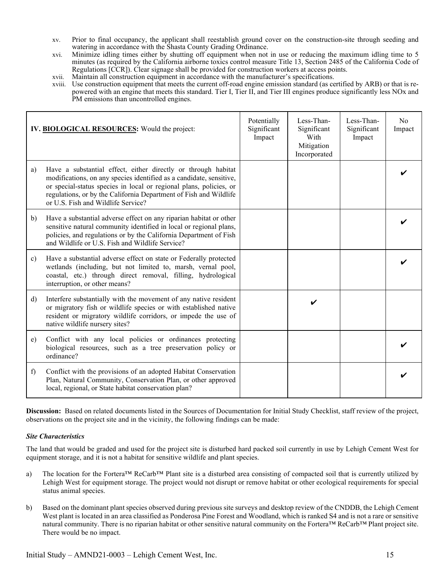- xv. Prior to final occupancy, the applicant shall reestablish ground cover on the construction-site through seeding and watering in accordance with the Shasta County Grading Ordinance.
- xvi. Minimize idling times either by shutting off equipment when not in use or reducing the maximum idling time to 5 minutes (as required by the California airborne toxics control measure Title 13, Section 2485 of the California Code of Regulations [CCR]). Clear signage shall be provided for construction workers at access points.
- xvii. Maintain all construction equipment in accordance with the manufacturer's specifications.
- xviii. Use construction equipment that meets the current off-road engine emission standard (as certified by ARB) or that is repowered with an engine that meets this standard. Tier I, Tier II, and Tier III engines produce significantly less NOx and PM emissions than uncontrolled engines.

|               | IV. BIOLOGICAL RESOURCES: Would the project:                                                                                                                                                                                                                                                                          | Potentially<br>Significant<br>Impact | Less-Than-<br>Significant<br>With<br>Mitigation<br>Incorporated | Less-Than-<br>Significant<br>Impact | No<br>Impact |
|---------------|-----------------------------------------------------------------------------------------------------------------------------------------------------------------------------------------------------------------------------------------------------------------------------------------------------------------------|--------------------------------------|-----------------------------------------------------------------|-------------------------------------|--------------|
| a)            | Have a substantial effect, either directly or through habitat<br>modifications, on any species identified as a candidate, sensitive,<br>or special-status species in local or regional plans, policies, or<br>regulations, or by the California Department of Fish and Wildlife<br>or U.S. Fish and Wildlife Service? |                                      |                                                                 |                                     |              |
| b)            | Have a substantial adverse effect on any riparian habitat or other<br>sensitive natural community identified in local or regional plans,<br>policies, and regulations or by the California Department of Fish<br>and Wildlife or U.S. Fish and Wildlife Service?                                                      |                                      |                                                                 |                                     |              |
| $\mathbf{c})$ | Have a substantial adverse effect on state or Federally protected<br>wetlands (including, but not limited to, marsh, vernal pool,<br>coastal, etc.) through direct removal, filling, hydrological<br>interruption, or other means?                                                                                    |                                      |                                                                 |                                     |              |
| $\mathbf{d}$  | Interfere substantially with the movement of any native resident<br>or migratory fish or wildlife species or with established native<br>resident or migratory wildlife corridors, or impede the use of<br>native wildlife nursery sites?                                                                              |                                      |                                                                 |                                     |              |
| e)            | Conflict with any local policies or ordinances protecting<br>biological resources, such as a tree preservation policy or<br>ordinance?                                                                                                                                                                                |                                      |                                                                 |                                     |              |
| f)            | Conflict with the provisions of an adopted Habitat Conservation<br>Plan, Natural Community, Conservation Plan, or other approved<br>local, regional, or State habitat conservation plan?                                                                                                                              |                                      |                                                                 |                                     |              |

#### *Site Characteristics*

The land that would be graded and used for the project site is disturbed hard packed soil currently in use by Lehigh Cement West for equipment storage, and it is not a habitat for sensitive wildlife and plant species.

- a) The location for the Fortera™ ReCarb™ Plant site is a disturbed area consisting of compacted soil that is currently utilized by Lehigh West for equipment storage. The project would not disrupt or remove habitat or other ecological requirements for special status animal species.
- b) Based on the dominant plant species observed during previous site surveys and desktop review of the CNDDB, the Lehigh Cement West plant is located in an area classified as Ponderosa Pine Forest and Woodland, which is ranked S4 and is not a rare or sensitive natural community. There is no riparian habitat or other sensitive natural community on the Fortera™ ReCarb™ Plant project site. There would be no impact.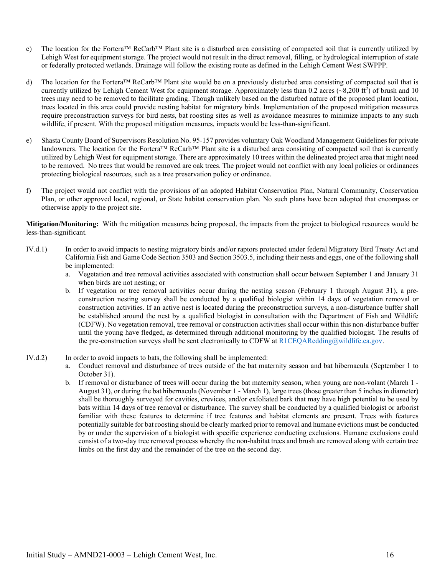- c) The location for the Fortera<sup>™</sup> ReCarb™ Plant site is a disturbed area consisting of compacted soil that is currently utilized by Lehigh West for equipment storage. The project would not result in the direct removal, filling, or hydrological interruption of state or federally protected wetlands. Drainage will follow the existing route as defined in the Lehigh Cement West SWPPP.
- d) The location for the Fortera™ ReCarb™ Plant site would be on a previously disturbed area consisting of compacted soil that is currently utilized by Lehigh Cement West for equipment storage. Approximately less than  $0.2$  acres  $(\sim 8,200 \text{ ft}^2)$  of brush and 10 trees may need to be removed to facilitate grading. Though unlikely based on the disturbed nature of the proposed plant location, trees located in this area could provide nesting habitat for migratory birds. Implementation of the proposed mitigation measures require preconstruction surveys for bird nests, bat roosting sites as well as avoidance measures to minimize impacts to any such wildlife, if present. With the proposed mitigation measures, impacts would be less-than-significant.
- e) Shasta County Board of Supervisors Resolution No. 95-157 provides voluntary Oak Woodland Management Guidelines for private landowners. The location for the Fortera™ ReCarb™ Plant site is a disturbed area consisting of compacted soil that is currently utilized by Lehigh West for equipment storage. There are approximately 10 trees within the delineated project area that might need to be removed. No trees that would be removed are oak trees. The project would not conflict with any local policies or ordinances protecting biological resources, such as a tree preservation policy or ordinance.
- f) The project would not conflict with the provisions of an adopted Habitat Conservation Plan, Natural Community, Conservation Plan, or other approved local, regional, or State habitat conservation plan. No such plans have been adopted that encompass or otherwise apply to the project site.

**Mitigation/Monitoring:** With the mitigation measures being proposed, the impacts from the project to biological resources would be less-than-significant.

- IV.d.1) In order to avoid impacts to nesting migratory birds and/or raptors protected under federal Migratory Bird Treaty Act and California Fish and Game Code Section 3503 and Section 3503.5, including their nests and eggs, one of the following shall be implemented:
	- a. Vegetation and tree removal activities associated with construction shall occur between September 1 and January 31 when birds are not nesting; or
	- b. If vegetation or tree removal activities occur during the nesting season (February 1 through August 31), a preconstruction nesting survey shall be conducted by a qualified biologist within 14 days of vegetation removal or construction activities. If an active nest is located during the preconstruction surveys, a non-disturbance buffer shall be established around the nest by a qualified biologist in consultation with the Department of Fish and Wildlife (CDFW). No vegetation removal, tree removal or construction activities shall occur within this non-disturbance buffer until the young have fledged, as determined through additional monitoring by the qualified biologist. The results of the pre-construction surveys shall be sent electronically to CDFW at  $R1CEQARedding@willife.ca.gov$ .
- IV.d.2) In order to avoid impacts to bats, the following shall be implemented:
	- a. Conduct removal and disturbance of trees outside of the bat maternity season and bat hibernacula (September 1 to October 31).
	- b. If removal or disturbance of trees will occur during the bat maternity season, when young are non-volant (March 1 August 31), or during the bat hibernacula (November 1 - March 1), large trees (those greater than 5 inches in diameter) shall be thoroughly surveyed for cavities, crevices, and/or exfoliated bark that may have high potential to be used by bats within 14 days of tree removal or disturbance. The survey shall be conducted by a qualified biologist or arborist familiar with these features to determine if tree features and habitat elements are present. Trees with features potentially suitable for bat roosting should be clearly marked prior to removal and humane evictions must be conducted by or under the supervision of a biologist with specific experience conducting exclusions. Humane exclusions could consist of a two-day tree removal process whereby the non-habitat trees and brush are removed along with certain tree limbs on the first day and the remainder of the tree on the second day.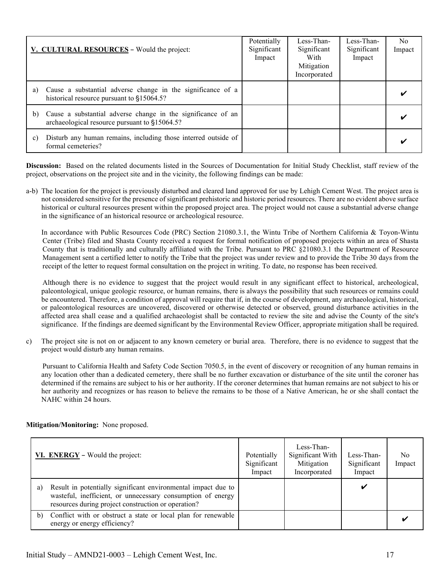| V. CULTURAL RESOURCES - Would the project:                                                                          | Potentially<br>Significant<br>Impact | Less-Than-<br>Significant<br>With<br>Mitigation<br>Incorporated | Less-Than-<br>Significant<br>Impact | No.<br>Impact |
|---------------------------------------------------------------------------------------------------------------------|--------------------------------------|-----------------------------------------------------------------|-------------------------------------|---------------|
| Cause a substantial adverse change in the significance of a<br>a)<br>historical resource pursuant to §15064.5?      |                                      |                                                                 |                                     |               |
| Cause a substantial adverse change in the significance of an<br>b)<br>archaeological resource pursuant to §15064.5? |                                      |                                                                 |                                     |               |
| Disturb any human remains, including those interred outside of<br>$\mathbf{c}$ )<br>formal cemeteries?              |                                      |                                                                 |                                     |               |

a-b) The location for the project is previously disturbed and cleared land approved for use by Lehigh Cement West. The project area is not considered sensitive for the presence of significant prehistoric and historic period resources. There are no evident above surface historical or cultural resources present within the proposed project area. The project would not cause a substantial adverse change in the significance of an historical resource or archeological resource.

In accordance with Public Resources Code (PRC) Section 21080.3.1, the Wintu Tribe of Northern California & Toyon-Wintu Center (Tribe) filed and Shasta County received a request for formal notification of proposed projects within an area of Shasta County that is traditionally and culturally affiliated with the Tribe. Pursuant to PRC §21080.3.1 the Department of Resource Management sent a certified letter to notify the Tribe that the project was under review and to provide the Tribe 30 days from the receipt of the letter to request formal consultation on the project in writing. To date, no response has been received.

Although there is no evidence to suggest that the project would result in any significant effect to historical, archeological, paleontological, unique geologic resource, or human remains, there is always the possibility that such resources or remains could be encountered. Therefore, a condition of approval will require that if, in the course of development, any archaeological, historical, or paleontological resources are uncovered, discovered or otherwise detected or observed, ground disturbance activities in the affected area shall cease and a qualified archaeologist shall be contacted to review the site and advise the County of the site's significance. If the findings are deemed significant by the Environmental Review Officer, appropriate mitigation shall be required.

c) The project site is not on or adjacent to any known cemetery or burial area. Therefore, there is no evidence to suggest that the project would disturb any human remains.

Pursuant to California Health and Safety Code Section 7050.5, in the event of discovery or recognition of any human remains in any location other than a dedicated cemetery, there shall be no further excavation or disturbance of the site until the coroner has determined if the remains are subject to his or her authority. If the coroner determines that human remains are not subject to his or her authority and recognizes or has reason to believe the remains to be those of a Native American, he or she shall contact the NAHC within 24 hours.

|    | VI. ENERGY - Would the project:                                                                                                                                                     | Potentially<br>Significant<br>Impact | Less-Than-<br>Significant With<br>Mitigation<br>Incorporated | Less-Than-<br>Significant<br>Impact | No<br>Impact |
|----|-------------------------------------------------------------------------------------------------------------------------------------------------------------------------------------|--------------------------------------|--------------------------------------------------------------|-------------------------------------|--------------|
| a) | Result in potentially significant environmental impact due to<br>wasteful, inefficient, or unnecessary consumption of energy<br>resources during project construction or operation? |                                      |                                                              |                                     |              |
| b) | Conflict with or obstruct a state or local plan for renewable<br>energy or energy efficiency?                                                                                       |                                      |                                                              |                                     |              |

## **Mitigation/Monitoring:** None proposed.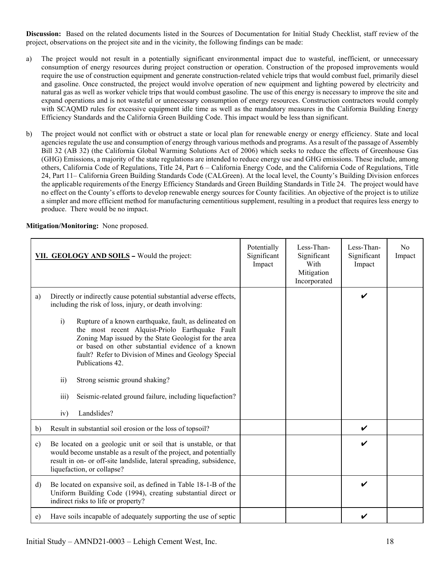- a) The project would not result in a potentially significant environmental impact due to wasteful, inefficient, or unnecessary consumption of energy resources during project construction or operation. Construction of the proposed improvements would require the use of construction equipment and generate construction-related vehicle trips that would combust fuel, primarily diesel and gasoline. Once constructed, the project would involve operation of new equipment and lighting powered by electricity and natural gas as well as worker vehicle trips that would combust gasoline. The use of this energy is necessary to improve the site and expand operations and is not wasteful or unnecessary consumption of energy resources. Construction contractors would comply with SCAQMD rules for excessive equipment idle time as well as the mandatory measures in the California Building Energy Efficiency Standards and the California Green Building Code. This impact would be less than significant.
- b) The project would not conflict with or obstruct a state or local plan for renewable energy or energy efficiency. State and local agencies regulate the use and consumption of energy through various methods and programs. As a result of the passage of Assembly Bill 32 (AB 32) (the California Global Warming Solutions Act of 2006) which seeks to reduce the effects of Greenhouse Gas (GHG) Emissions, a majority of the state regulations are intended to reduce energy use and GHG emissions. These include, among others, California Code of Regulations, Title 24, Part 6 – California Energy Code, and the California Code of Regulations, Title 24, Part 11– California Green Building Standards Code (CALGreen). At the local level, the County's Building Division enforces the applicable requirements of the Energy Efficiency Standards and Green Building Standards in Title 24. The project would have no effect on the County's efforts to develop renewable energy sources for County facilities. An objective of the project is to utilize a simpler and more efficient method for manufacturing cementitious supplement, resulting in a product that requires less energy to produce. There would be no impact.

|  | Mitigation/Monitoring: None proposed. |
|--|---------------------------------------|
|  |                                       |

|               | VII. GEOLOGY AND SOILS - Would the project:                                                                                                                                                                                                                                                                                                                                                                                                                                                                                                                                                            | Potentially<br>Significant<br>Impact | Less-Than-<br>Significant<br>With<br>Mitigation<br>Incorporated | Less-Than-<br>Significant<br>Impact | N <sub>o</sub><br>Impact |
|---------------|--------------------------------------------------------------------------------------------------------------------------------------------------------------------------------------------------------------------------------------------------------------------------------------------------------------------------------------------------------------------------------------------------------------------------------------------------------------------------------------------------------------------------------------------------------------------------------------------------------|--------------------------------------|-----------------------------------------------------------------|-------------------------------------|--------------------------|
| a)            | Directly or indirectly cause potential substantial adverse effects,<br>including the risk of loss, injury, or death involving:<br>Rupture of a known earthquake, fault, as delineated on<br>$\mathbf{i}$<br>the most recent Alquist-Priolo Earthquake Fault<br>Zoning Map issued by the State Geologist for the area<br>or based on other substantial evidence of a known<br>fault? Refer to Division of Mines and Geology Special<br>Publications 42.<br>$\overline{ii}$ )<br>Strong seismic ground shaking?<br>iii)<br>Seismic-related ground failure, including liquefaction?<br>Landslides?<br>iv) |                                      |                                                                 | V                                   |                          |
| b)            | Result in substantial soil erosion or the loss of topsoil?                                                                                                                                                                                                                                                                                                                                                                                                                                                                                                                                             |                                      |                                                                 | V                                   |                          |
| $\mathbf{c})$ | Be located on a geologic unit or soil that is unstable, or that<br>would become unstable as a result of the project, and potentially<br>result in on- or off-site landslide, lateral spreading, subsidence,<br>liquefaction, or collapse?                                                                                                                                                                                                                                                                                                                                                              |                                      |                                                                 | V                                   |                          |
| d)            | Be located on expansive soil, as defined in Table 18-1-B of the<br>Uniform Building Code (1994), creating substantial direct or<br>indirect risks to life or property?                                                                                                                                                                                                                                                                                                                                                                                                                                 |                                      |                                                                 | V                                   |                          |
| e)            | Have soils incapable of adequately supporting the use of septic                                                                                                                                                                                                                                                                                                                                                                                                                                                                                                                                        |                                      |                                                                 |                                     |                          |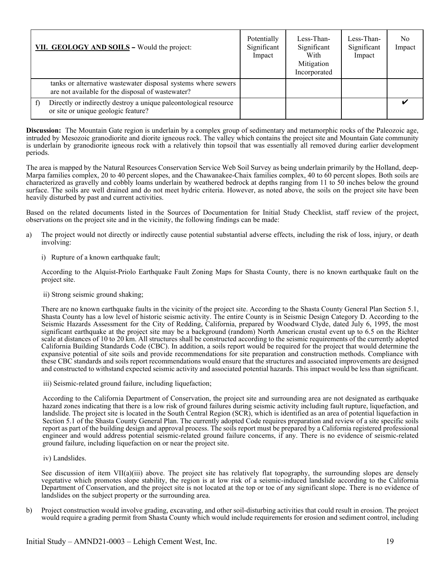| VII. GEOLOGY AND SOILS - Would the project:                                                                        | Potentially<br>Significant<br>Impact | Less-Than-<br>Significant<br>With<br>Mitigation<br>Incorporated | Less-Than-<br>Significant<br>Impact | No.<br>Impact |
|--------------------------------------------------------------------------------------------------------------------|--------------------------------------|-----------------------------------------------------------------|-------------------------------------|---------------|
| tanks or alternative wastewater disposal systems where sewers<br>are not available for the disposal of wastewater? |                                      |                                                                 |                                     |               |
| Directly or indirectly destroy a unique paleontological resource<br>or site or unique geologic feature?            |                                      |                                                                 |                                     |               |

**Discussion:** The Mountain Gate region is underlain by a complex group of sedimentary and metamorphic rocks of the Paleozoic age, intruded by Mesozoic granodiorite and diorite igneous rock. The valley which contains the project site and Mountain Gate community is underlain by granodiorite igneous rock with a relatively thin topsoil that was essentially all removed during earlier development periods.

The area is mapped by the Natural Resources Conservation Service Web Soil Survey as being underlain primarily by the Holland, deep-Marpa families complex, 20 to 40 percent slopes, and the Chawanakee-Chaix families complex, 40 to 60 percent slopes. Both soils are characterized as gravelly and cobbly loams underlain by weathered bedrock at depths ranging from 11 to 50 inches below the ground surface. The soils are well drained and do not meet hydric criteria. However, as noted above, the soils on the project site have been heavily disturbed by past and current activities.

Based on the related documents listed in the Sources of Documentation for Initial Study Checklist, staff review of the project, observations on the project site and in the vicinity, the following findings can be made:

- a) The project would not directly or indirectly cause potential substantial adverse effects, including the risk of loss, injury, or death involving:
	- i) Rupture of a known earthquake fault;

According to the Alquist-Priolo Earthquake Fault Zoning Maps for Shasta County, there is no known earthquake fault on the project site.

ii) Strong seismic ground shaking;

There are no known earthquake faults in the vicinity of the project site. According to the Shasta County General Plan Section 5.1, Shasta County has a low level of historic seismic activity. The entire County is in Seismic Design Category D. According to the Seismic Hazards Assessment for the City of Redding, California, prepared by Woodward Clyde, dated July 6, 1995, the most significant earthquake at the project site may be a background (random) North American crustal event up to 6.5 on the Richter scale at distances of 10 to 20 km. All structures shall be constructed according to the seismic requirements of the currently adopted California Building Standards Code (CBC). In addition, a soils report would be required for the project that would determine the expansive potential of site soils and provide recommendations for site preparation and construction methods. Compliance with these CBC standards and soils report recommendations would ensure that the structures and associated improvements are designed and constructed to withstand expected seismic activity and associated potential hazards. This impact would be less than significant.

iii) Seismic-related ground failure, including liquefaction;

According to the California Department of Conservation, the project site and surrounding area are not designated as earthquake hazard zones indicating that there is a low risk of ground failures during seismic activity including fault rupture, liquefaction, and landslide. The project site is located in the South Central Region (SCR), which is identified as an area of potential liquefaction in Section 5.1 of the Shasta County General Plan. The currently adopted Code requires preparation and review of a site specific soils report as part of the building design and approval process. The soils report must be prepared by a California registered professional engineer and would address potential seismic-related ground failure concerns, if any. There is no evidence of seismic-related ground failure, including liquefaction on or near the project site.

iv) Landslides.

See discussion of item  $VII(a)(iii)$  above. The project site has relatively flat topography, the surrounding slopes are densely vegetative which promotes slope stability, the region is at low risk of a seismic-induced landslide according to the California Department of Conservation, and the project site is not located at the top or toe of any significant slope. There is no evidence of landslides on the subject property or the surrounding area.

b) Project construction would involve grading, excavating, and other soil-disturbing activities that could result in erosion. The project would require a grading permit from Shasta County which would include requirements for erosion and sediment control, including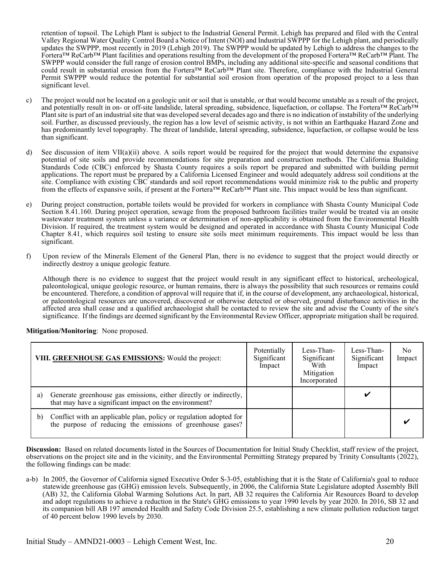retention of topsoil. The Lehigh Plant is subject to the Industrial General Permit. Lehigh has prepared and filed with the Central Valley Regional Water Quality Control Board a Notice of Intent (NOI) and Industrial SWPPP for the Lehigh plant, and periodically updates the SWPPP, most recently in 2019 (Lehigh 2019). The SWPPP would be updated by Lehigh to address the changes to the Fortera™ ReCarb™ Plant facilities and operations resulting from the development of the proposed Fortera™ ReCarb™ Plant. The SWPPP would consider the full range of erosion control BMPs, including any additional site-specific and seasonal conditions that could result in substantial erosion from the Fortera™ ReCarb™ Plant site. Therefore, compliance with the Industrial General Permit SWPPP would reduce the potential for substantial soil erosion from operation of the proposed project to a less than significant level.

- c) The project would not be located on a geologic unit or soil that is unstable, or that would become unstable as a result of the project, and potentially result in on- or off-site landslide, lateral spreading, subsidence, liquefaction, or collapse. The Fortera™ ReCarb™ Plant site is part of an industrial site that was developed several decades ago and there is no indication of instability of the underlying soil. Further, as discussed previously, the region has a low level of seismic activity, is not within an Earthquake Hazard Zone and has predominantly level topography. The threat of landslide, lateral spreading, subsidence, liquefaction, or collapse would be less than significant.
- d) See discussion of item VII(a)(ii) above. A soils report would be required for the project that would determine the expansive potential of site soils and provide recommendations for site preparation and construction methods. The California Building Standards Code (CBC) enforced by Shasta County requires a soils report be prepared and submitted with building permit applications. The report must be prepared by a California Licensed Engineer and would adequately address soil conditions at the site. Compliance with existing CBC standards and soil report recommendations would minimize risk to the public and property from the effects of expansive soils, if present at the Fortera™ ReCarb™ Plant site. This impact would be less than significant.
- e) During project construction, portable toilets would be provided for workers in compliance with Shasta County Municipal Code Section 8.41.160. During project operation, sewage from the proposed bathroom facilities trailer would be treated via an onsite wastewater treatment system unless a variance or determination of non-applicability is obtained from the Environmental Health Division. If required, the treatment system would be designed and operated in accordance with Shasta County Municipal Code Chapter 8.41, which requires soil testing to ensure site soils meet minimum requirements. This impact would be less than significant.
- f) Upon review of the Minerals Element of the General Plan, there is no evidence to suggest that the project would directly or indirectly destroy a unique geologic feature.

Although there is no evidence to suggest that the project would result in any significant effect to historical, archeological, paleontological, unique geologic resource, or human remains, there is always the possibility that such resources or remains could be encountered. Therefore, a condition of approval will require that if, in the course of development, any archaeological, historical, or paleontological resources are uncovered, discovered or otherwise detected or observed, ground disturbance activities in the affected area shall cease and a qualified archaeologist shall be contacted to review the site and advise the County of the site's significance. If the findings are deemed significant by the Environmental Review Officer, appropriate mitigation shall be required.

|    | VIII. GREENHOUSE GAS EMISSIONS: Would the project:                                                                               | Potentially<br>Significant<br>Impact | Less-Than-<br>Significant<br>With<br>Mitigation<br>Incorporated | Less-Than-<br>Significant<br>Impact | No.<br>Impact |
|----|----------------------------------------------------------------------------------------------------------------------------------|--------------------------------------|-----------------------------------------------------------------|-------------------------------------|---------------|
| a) | Generate greenhouse gas emissions, either directly or indirectly,<br>that may have a significant impact on the environment?      |                                      |                                                                 |                                     |               |
| b) | Conflict with an applicable plan, policy or regulation adopted for<br>the purpose of reducing the emissions of greenhouse gases? |                                      |                                                                 |                                     |               |

**Mitigation/Monitoring**: None proposed.

**Discussion:** Based on related documents listed in the Sources of Documentation for Initial Study Checklist, staff review of the project, observations on the project site and in the vicinity, and the Environmental Permitting Strategy prepared by Trinity Consultants (2022), the following findings can be made:

a-b) In 2005, the Governor of California signed Executive Order S-3-05, establishing that it is the State of California's goal to reduce statewide greenhouse gas (GHG) emission levels. Subsequently, in 2006, the California State Legislature adopted Assembly Bill (AB) 32, the California Global Warming Solutions Act. In part, AB 32 requires the California Air Resources Board to develop and adopt regulations to achieve a reduction in the State's GHG emissions to year 1990 levels by year 2020. In 2016, SB 32 and its companion bill AB 197 amended Health and Safety Code Division 25.5, establishing a new climate pollution reduction target of 40 percent below 1990 levels by 2030.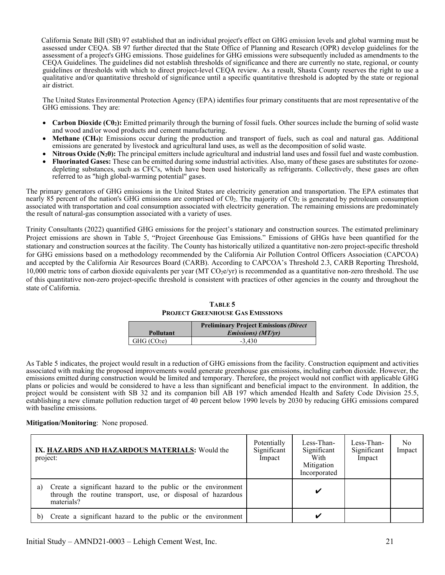California Senate Bill (SB) 97 established that an individual project's effect on GHG emission levels and global warming must be assessed under CEQA. SB 97 further directed that the State Office of Planning and Research (OPR) develop guidelines for the assessment of a project's GHG emissions. Those guidelines for GHG emissions were subsequently included as amendments to the CEQA Guidelines. The guidelines did not establish thresholds of significance and there are currently no state, regional, or county guidelines or thresholds with which to direct project-level CEQA review. As a result, Shasta County reserves the right to use a qualitative and/or quantitative threshold of significance until a specific quantitative threshold is adopted by the state or regional air district.

The United States Environmental Protection Agency (EPA) identifies four primary constituents that are most representative of the GHG emissions. They are:

- **Carbon Dioxide (C02):** Emitted primarily through the burning of fossil fuels. Other sources include the burning of solid waste and wood and/or wood products and cement manufacturing.
- **Methane (CH4):** Emissions occur during the production and transport of fuels, such as coal and natural gas. Additional emissions are generated by livestock and agricultural land uses, as well as the decomposition of solid waste.
- **Nitrous Oxide (N<sub>2</sub>0):** The principal emitters include agricultural and industrial land uses and fossil fuel and waste combustion.
- **Fluorinated Gases:** These can be emitted during some industrial activities. Also, many of these gases are substitutes for ozonedepleting substances, such as CFC's, which have been used historically as refrigerants. Collectively, these gases are often referred to as "high global-warming potential" gases.

The primary generators of GHG emissions in the United States are electricity generation and transportation. The EPA estimates that nearly 85 percent of the nation's GHG emissions are comprised of  $C0<sub>2</sub>$ . The majority of  $C0<sub>2</sub>$  is generated by petroleum consumption associated with transportation and coal consumption associated with electricity generation. The remaining emissions are predominately the result of natural-gas consumption associated with a variety of uses.

Trinity Consultants (2022) quantified GHG emissions for the project's stationary and construction sources. The estimated preliminary Project emissions are shown in Table 5, "Project Greenhouse Gas Emissions." Emissions of GHGs have been quantified for the stationary and construction sources at the facility. The County has historically utilized a quantitative non-zero project-specific threshold for GHG emissions based on a methodology recommended by the California Air Pollution Control Officers Association (CAPCOA) and accepted by the California Air Resources Board (CARB). According to CAPCOA's Threshold 2.3, CARB Reporting Threshold, 10,000 metric tons of carbon dioxide equivalents per year (MT CO<sub>2</sub>e/yr) is recommended as a quantitative non-zero threshold. The use of this quantitative non-zero project-specific threshold is consistent with practices of other agencies in the county and throughout the state of California.

| TABLE 5                                 |
|-----------------------------------------|
| <b>PROJECT GREENHOUSE GAS EMISSIONS</b> |

|                         | <b>Preliminary Project Emissions (Direct</b> ) |
|-------------------------|------------------------------------------------|
| <b>Pollutant</b>        | <i>Emissions</i> ) $(MT/vr)$                   |
| GHG (CO <sub>2</sub> e) | $-3.430$                                       |

<span id="page-23-0"></span>As Table 5 indicates, the project would result in a reduction of GHG emissions from the facility. Construction equipment and activities associated with making the proposed improvements would generate greenhouse gas emissions, including carbon dioxide. However, the emissions emitted during construction would be limited and temporary. Therefore, the project would not conflict with applicable GHG plans or policies and would be considered to have a less than significant and beneficial impact to the environment. In addition, the project would be consistent with SB 32 and its companion bill AB 197 which amended Health and Safety Code Division 25.5, establishing a new climate pollution reduction target of 40 percent below 1990 levels by 2030 by reducing GHG emissions compared with baseline emissions.

#### **Mitigation/Monitoring**: None proposed.

| IX. HAZARDS AND HAZARDOUS MATERIALS: Would the<br>project:                                                                                       | Potentially<br>Significant<br>Impact | Less-Than-<br>Significant<br>With<br>Mitigation<br>Incorporated | Less-Than-<br>Significant<br>Impact | No.<br>Impact |
|--------------------------------------------------------------------------------------------------------------------------------------------------|--------------------------------------|-----------------------------------------------------------------|-------------------------------------|---------------|
| Create a significant hazard to the public or the environment<br>a)<br>through the routine transport, use, or disposal of hazardous<br>materials? |                                      |                                                                 |                                     |               |
| Create a significant hazard to the public or the environment<br>b)                                                                               |                                      |                                                                 |                                     |               |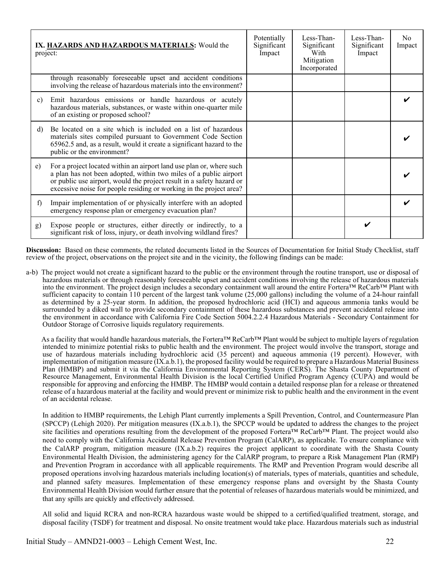| project:       | IX. HAZARDS AND HAZARDOUS MATERIALS: Would the                                                                                                                                                                                                                                            | Potentially<br>Significant<br>Impact | Less-Than-<br>Significant<br>With<br>Mitigation<br>Incorporated | Less-Than-<br>Significant<br>Impact | N <sub>0</sub><br>Impact |
|----------------|-------------------------------------------------------------------------------------------------------------------------------------------------------------------------------------------------------------------------------------------------------------------------------------------|--------------------------------------|-----------------------------------------------------------------|-------------------------------------|--------------------------|
|                | through reasonably foreseeable upset and accident conditions<br>involving the release of hazardous materials into the environment?                                                                                                                                                        |                                      |                                                                 |                                     |                          |
| $\mathbf{c}$ ) | Emit hazardous emissions or handle hazardous or acutely<br>hazardous materials, substances, or waste within one-quarter mile<br>of an existing or proposed school?                                                                                                                        |                                      |                                                                 |                                     |                          |
| d)             | Be located on a site which is included on a list of hazardous<br>materials sites compiled pursuant to Government Code Section<br>65962.5 and, as a result, would it create a significant hazard to the<br>public or the environment?                                                      |                                      |                                                                 |                                     |                          |
| e)             | For a project located within an airport land use plan or, where such<br>a plan has not been adopted, within two miles of a public airport<br>or public use airport, would the project result in a safety hazard or<br>excessive noise for people residing or working in the project area? |                                      |                                                                 |                                     |                          |
| f              | Impair implementation of or physically interfere with an adopted<br>emergency response plan or emergency evacuation plan?                                                                                                                                                                 |                                      |                                                                 |                                     |                          |
| g)             | Expose people or structures, either directly or indirectly, to a<br>significant risk of loss, injury, or death involving wildland fires?                                                                                                                                                  |                                      |                                                                 |                                     |                          |

a-b) The project would not create a significant hazard to the public or the environment through the routine transport, use or disposal of hazardous materials or through reasonably foreseeable upset and accident conditions involving the release of hazardous materials into the environment. The project design includes a secondary containment wall around the entire Fortera™ ReCarb™ Plant with sufficient capacity to contain 110 percent of the largest tank volume (25,000 gallons) including the volume of a 24-hour rainfall as determined by a 25-year storm. In addition, the proposed hydrochloric acid (HCI) and aqueous ammonia tanks would be surrounded by a diked wall to provide secondary containment of these hazardous substances and prevent accidental release into the environment in accordance with California Fire Code Section 5004.2.2.4 Hazardous Materials - Secondary Containment for Outdoor Storage of Corrosive liquids regulatory requirements.

As a facility that would handle hazardous materials, the Fortera™ ReCarb™ Plant would be subject to multiple layers of regulation intended to minimize potential risks to public health and the environment. The project would involve the transport, storage and use of hazardous materials including hydrochloric acid (35 percent) and aqueous ammonia (19 percent). However, with implementation of mitigation measure (IX.a.b.1), the proposed facility would be required to prepare a Hazardous Material Business Plan (HMBP) and submit it via the California Environmental Reporting System (CERS). The Shasta County Department of Resource Management, Environmental Health Division is the local Certified Unified Program Agency (CUPA) and would be responsible for approving and enforcing the HMBP. The HMBP would contain a detailed response plan for a release or threatened release of a hazardous material at the facility and would prevent or minimize risk to public health and the environment in the event of an accidental release.

In addition to HMBP requirements, the Lehigh Plant currently implements a Spill Prevention, Control, and Countermeasure Plan (SPCCP) (Lehigh 2020). Per mitigation measures (IX.a.b.1), the SPCCP would be updated to address the changes to the project site facilities and operations resulting from the development of the proposed Fortera™ ReCarb™ Plant. The project would also need to comply with the California Accidental Release Prevention Program (CalARP), as applicable. To ensure compliance with the CalARP program, mitigation measure (IX.a.b.2) requires the project applicant to coordinate with the Shasta County Environmental Health Division, the administering agency for the CalARP program, to prepare a Risk Management Plan (RMP) and Prevention Program in accordance with all applicable requirements. The RMP and Prevention Program would describe all proposed operations involving hazardous materials including location(s) of materials, types of materials, quantities and schedule, and planned safety measures. Implementation of these emergency response plans and oversight by the Shasta County Environmental Health Division would further ensure that the potential of releases of hazardous materials would be minimized, and that any spills are quickly and effectively addressed.

All solid and liquid RCRA and non-RCRA hazardous waste would be shipped to a certified/qualified treatment, storage, and disposal facility (TSDF) for treatment and disposal. No onsite treatment would take place. Hazardous materials such as industrial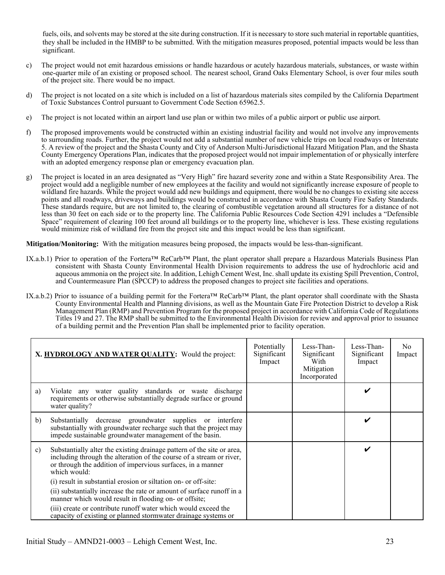fuels, oils, and solvents may be stored at the site during construction. If it is necessary to store such material in reportable quantities, they shall be included in the HMBP to be submitted. With the mitigation measures proposed, potential impacts would be less than significant.

- c) The project would not emit hazardous emissions or handle hazardous or acutely hazardous materials, substances, or waste within one-quarter mile of an existing or proposed school. The nearest school, Grand Oaks Elementary School, is over four miles south of the project site. There would be no impact.
- d) The project is not located on a site which is included on a list of hazardous materials sites compiled by the California Department of Toxic Substances Control pursuant to Government Code Section 65962.5.
- e) The project is not located within an airport land use plan or within two miles of a public airport or public use airport.
- f) The proposed improvements would be constructed within an existing industrial facility and would not involve any improvements to surrounding roads. Further, the project would not add a substantial number of new vehicle trips on local roadways or Interstate 5. A review of the project and the Shasta County and City of Anderson Multi-Jurisdictional Hazard Mitigation Plan, and the Shasta County Emergency Operations Plan, indicates that the proposed project would not impair implementation of or physically interfere with an adopted emergency response plan or emergency evacuation plan.
- g) The project is located in an area designated as "Very High" fire hazard severity zone and within a State Responsibility Area. The project would add a negligible number of new employees at the facility and would not significantly increase exposure of people to wildland fire hazards. While the project would add new buildings and equipment, there would be no changes to existing site access points and all roadways, driveways and buildings would be constructed in accordance with Shasta County Fire Safety Standards. These standards require, but are not limited to, the clearing of combustible vegetation around all structures for a distance of not less than 30 feet on each side or to the property line. The California Public Resources Code Section 4291 includes a "Defensible Space" requirement of clearing 100 feet around all buildings or to the property line, whichever is less. These existing regulations would minimize risk of wildland fire from the project site and this impact would be less than significant.

**Mitigation/Monitoring:** With the mitigation measures being proposed, the impacts would be less-than-significant.

- IX.a.b.1) Prior to operation of the Fortera™ ReCarb™ Plant, the plant operator shall prepare a Hazardous Materials Business Plan consistent with Shasta County Environmental Health Division requirements to address the use of hydrochloric acid and aqueous ammonia on the project site. In addition, Lehigh Cement West, Inc. shall update its existing Spill Prevention, Control, and Countermeasure Plan (SPCCP) to address the proposed changes to project site facilities and operations.
- IX.a.b.2) Prior to issuance of a building permit for the Fortera™ ReCarb™ Plant, the plant operator shall coordinate with the Shasta County Environmental Health and Planning divisions, as well as the Mountain Gate Fire Protection District to develop a Risk Management Plan (RMP) and Prevention Program for the proposed project in accordance with California Code of Regulations Titles 19 and 27. The RMP shall be submitted to the Environmental Health Division for review and approval prior to issuance of a building permit and the Prevention Plan shall be implemented prior to facility operation.

|    | X. HYDROLOGY AND WATER QUALITY: Would the project:                                                                                                                                                                            | Potentially<br>Significant<br>Impact | Less-Than-<br>Significant<br>With<br>Mitigation<br>Incorporated | Less-Than-<br>Significant<br>Impact | No.<br>Impact |
|----|-------------------------------------------------------------------------------------------------------------------------------------------------------------------------------------------------------------------------------|--------------------------------------|-----------------------------------------------------------------|-------------------------------------|---------------|
| a) | Violate any water quality standards or waste discharge<br>requirements or otherwise substantially degrade surface or ground<br>water quality?                                                                                 |                                      |                                                                 | V                                   |               |
| b) | Substantially decrease groundwater supplies or interfere<br>substantially with groundwater recharge such that the project may<br>impede sustainable groundwater management of the basin.                                      |                                      |                                                                 | V                                   |               |
| c) | Substantially alter the existing drainage pattern of the site or area,<br>including through the alteration of the course of a stream or river,<br>or through the addition of impervious surfaces, in a manner<br>which would: |                                      |                                                                 | V                                   |               |
|    | (i) result in substantial erosion or siltation on- or off-site:                                                                                                                                                               |                                      |                                                                 |                                     |               |
|    | (ii) substantially increase the rate or amount of surface runoff in a<br>manner which would result in flooding on- or offsite;                                                                                                |                                      |                                                                 |                                     |               |
|    | (iii) create or contribute runoff water which would exceed the<br>capacity of existing or planned stormwater drainage systems or                                                                                              |                                      |                                                                 |                                     |               |

Initial Study – AMND21-0003 – Lehigh Cement West, Inc. 23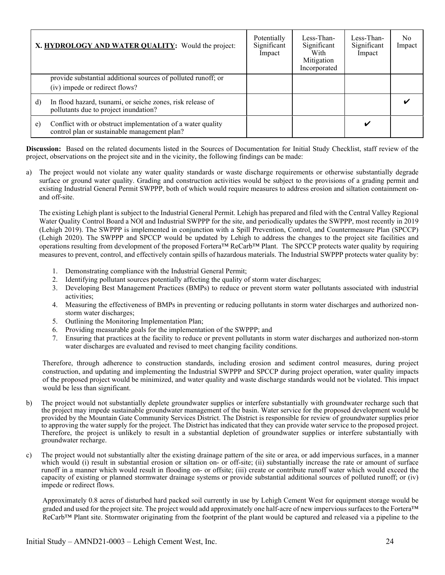|    | X. HYDROLOGY AND WATER QUALITY: Would the project:                                                          | Potentially<br>Significant<br>Impact | Less-Than-<br>Significant<br>With<br>Mitigation<br>Incorporated | Less-Than-<br>Significant<br>Impact | No<br>Impact |
|----|-------------------------------------------------------------------------------------------------------------|--------------------------------------|-----------------------------------------------------------------|-------------------------------------|--------------|
|    | provide substantial additional sources of polluted runoff; or<br>(iv) impede or redirect flows?             |                                      |                                                                 |                                     |              |
| d) | In flood hazard, tsunami, or seiche zones, risk release of<br>pollutants due to project inundation?         |                                      |                                                                 |                                     |              |
| e) | Conflict with or obstruct implementation of a water quality<br>control plan or sustainable management plan? |                                      |                                                                 |                                     |              |

a) The project would not violate any water quality standards or waste discharge requirements or otherwise substantially degrade surface or ground water quality. Grading and construction activities would be subject to the provisions of a grading permit and existing Industrial General Permit SWPPP, both of which would require measures to address erosion and siltation containment onand off-site.

The existing Lehigh plant is subject to the Industrial General Permit. Lehigh has prepared and filed with the Central Valley Regional Water Quality Control Board a NOI and Industrial SWPPP for the site, and periodically updates the SWPPP, most recently in 2019 (Lehigh 2019). The SWPPP is implemented in conjunction with a Spill Prevention, Control, and Countermeasure Plan (SPCCP) (Lehigh 2020). The SWPPP and SPCCP would be updated by Lehigh to address the changes to the project site facilities and operations resulting from development of the proposed Fortera™ ReCarb™ Plant. The SPCCP protects water quality by requiring measures to prevent, control, and effectively contain spills of hazardous materials. The Industrial SWPPP protects water quality by:

- 1. Demonstrating compliance with the Industrial General Permit;
- 2. Identifying pollutant sources potentially affecting the quality of storm water discharges;
- 3. Developing Best Management Practices (BMPs) to reduce or prevent storm water pollutants associated with industrial activities;
- 4. Measuring the effectiveness of BMPs in preventing or reducing pollutants in storm water discharges and authorized nonstorm water discharges;
- 5. Outlining the Monitoring Implementation Plan;
- 6. Providing measurable goals for the implementation of the SWPPP; and
- 7. Ensuring that practices at the facility to reduce or prevent pollutants in storm water discharges and authorized non-storm water discharges are evaluated and revised to meet changing facility conditions.

Therefore, through adherence to construction standards, including erosion and sediment control measures, during project construction, and updating and implementing the Industrial SWPPP and SPCCP during project operation, water quality impacts of the proposed project would be minimized, and water quality and waste discharge standards would not be violated. This impact would be less than significant.

- b) The project would not substantially deplete groundwater supplies or interfere substantially with groundwater recharge such that the project may impede sustainable groundwater management of the basin. Water service for the proposed development would be provided by the Mountain Gate Community Services District. The District is responsible for review of groundwater supplies prior to approving the water supply for the project. The District has indicated that they can provide water service to the proposed project. Therefore, the project is unlikely to result in a substantial depletion of groundwater supplies or interfere substantially with groundwater recharge.
- c) The project would not substantially alter the existing drainage pattern of the site or area, or add impervious surfaces, in a manner which would (i) result in substantial erosion or siltation on- or off-site; (ii) substantially increase the rate or amount of surface runoff in a manner which would result in flooding on- or offsite; (iii) create or contribute runoff water which would exceed the capacity of existing or planned stormwater drainage systems or provide substantial additional sources of polluted runoff; or (iv) impede or redirect flows.

Approximately 0.8 acres of disturbed hard packed soil currently in use by Lehigh Cement West for equipment storage would be graded and used for the project site. The project would add approximately one half-acre of new impervious surfaces to the Fortera™ ReCarb™ Plant site. Stormwater originating from the footprint of the plant would be captured and released via a pipeline to the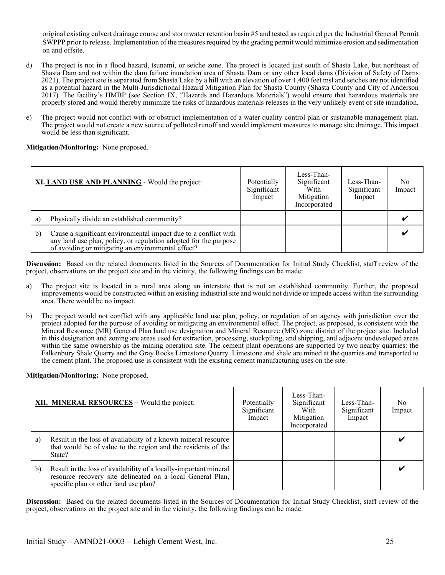original existing culvert drainage course and stormwater retention basin #5 and tested as required per the Industrial General Permit SWPPP prior to release. Implementation of the measures required by the grading permit would minimize erosion and sedimentation on and offsite.

- d) The project is not in a flood hazard, tsunami, or seiche zone. The project is located just south of Shasta Lake, but northeast of Shasta Dam and not within the dam failure inundation area of Shasta Dam or any other local dams (Division of Safety of Dams 2021). The project site is separated from Shasta Lake by a hill with an elevation of over 1,400 feet msl and seiches are not identified as a potential hazard in the Multi-Jurisdictional Hazard Mitigation Plan for Shasta County (Shasta County and City of Anderson 2017). The facility's HMBP (see Section IX, "Hazards and Hazardous Materials") would ensure that hazardous materials are properly stored and would thereby minimize the risks of hazardous materials releases in the very unlikely event of site inundation.
- e) The project would not conflict with or obstruct implementation of a water quality control plan or sustainable management plan. The project would not create a new source of polluted runoff and would implement measures to manage site drainage. This impact would be less than significant.

**Mitigation/Monitoring:** None proposed.

|              | XI. LAND USE AND PLANNING - Would the project:                                                                                                                                            | Potentially<br>Significant<br>Impact | Less-Than-<br>Significant<br>With<br>Mitigation<br>Incorporated | Less-Than-<br>Significant<br>Impact | N <sub>0</sub><br>Impact |
|--------------|-------------------------------------------------------------------------------------------------------------------------------------------------------------------------------------------|--------------------------------------|-----------------------------------------------------------------|-------------------------------------|--------------------------|
| a l          | Physically divide an established community?                                                                                                                                               |                                      |                                                                 |                                     |                          |
| $\mathbf{b}$ | Cause a significant environmental impact due to a conflict with<br>any land use plan, policy, or regulation adopted for the purpose<br>of avoiding or mitigating an environmental effect? |                                      |                                                                 |                                     |                          |

**Discussion:** Based on the related documents listed in the Sources of Documentation for Initial Study Checklist, staff review of the project, observations on the project site and in the vicinity, the following findings can be made:

- a) The project site is located in a rural area along an interstate that is not an established community. Further, the proposed improvements would be constructed within an existing industrial site and would not divide or impede access within the surrounding area. There would be no impact.
- b) The project would not conflict with any applicable land use plan, policy, or regulation of an agency with jurisdiction over the project adopted for the purpose of avoiding or mitigating an environmental effect. The project, as proposed, is consistent with the Mineral Resource (MR) General Plan land use designation and Mineral Resource (MR) zone district of the project site. Included in this designation and zoning are areas used for extraction, processing, stockpiling, and shipping, and adjacent undeveloped areas within the same ownership as the mining operation site. The cement plant operations are supported by two nearby quarries: the Falkenbury Shale Quarry and the Gray Rocks Limestone Quarry. Limestone and shale are mined at the quarries and transported to the cement plant. The proposed use is consistent with the existing cement manufacturing uses on the site.

**Mitigation/Monitoring:** None proposed.

|              | XII. MINERAL RESOURCES - Would the project:                                                                                                                              | Potentially<br>Significant<br>Impact | Less-Than-<br>Significant<br>With<br>Mitigation<br>Incorporated | Less-Than-<br>Significant<br>Impact | No<br>Impact |
|--------------|--------------------------------------------------------------------------------------------------------------------------------------------------------------------------|--------------------------------------|-----------------------------------------------------------------|-------------------------------------|--------------|
| a)           | Result in the loss of availability of a known mineral resource<br>that would be of value to the region and the residents of the<br>State?                                |                                      |                                                                 |                                     | v            |
| $\mathbf{b}$ | Result in the loss of availability of a locally-important mineral<br>resource recovery site delineated on a local General Plan,<br>specific plan or other land use plan? |                                      |                                                                 |                                     | v            |

**Discussion:** Based on the related documents listed in the Sources of Documentation for Initial Study Checklist, staff review of the project, observations on the project site and in the vicinity, the following findings can be made: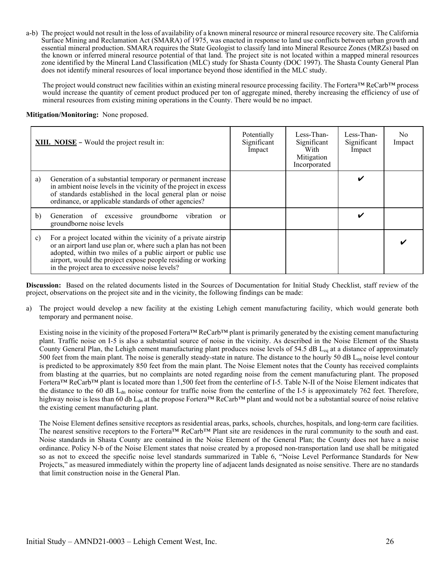a-b) The project would not result in the loss of availability of a known mineral resource or mineral resource recovery site. The California Surface Mining and Reclamation Act (SMARA) of 1975, was enacted in response to land use conflicts between urban growth and essential mineral production. SMARA requires the State Geologist to classify land into Mineral Resource Zones (MRZs) based on the known or inferred mineral resource potential of that land. The project site is not located within a mapped mineral resources zone identified by the Mineral Land Classification (MLC) study for Shasta County (DOC 1997). The Shasta County General Plan does not identify mineral resources of local importance beyond those identified in the MLC study.

The project would construct new facilities within an existing mineral resource processing facility. The Fortera™ ReCarb™ process would increase the quantity of cement product produced per ton of aggregate mined, thereby increasing the efficiency of use of mineral resources from existing mining operations in the County. There would be no impact.

#### **Mitigation/Monitoring:** None proposed.

|    | <b>XIII.</b> NOISE – Would the project result in:                                                                                                                                                                                                                                                                  | Potentially<br>Significant<br>Impact | Less-Than-<br>Significant<br>With<br>Mitigation<br>Incorporated | Less-Than-<br>Significant<br>Impact | No.<br>Impact |
|----|--------------------------------------------------------------------------------------------------------------------------------------------------------------------------------------------------------------------------------------------------------------------------------------------------------------------|--------------------------------------|-----------------------------------------------------------------|-------------------------------------|---------------|
| a) | Generation of a substantial temporary or permanent increase<br>in ambient noise levels in the vicinity of the project in excess<br>of standards established in the local general plan or noise<br>ordinance, or applicable standards of other agencies?                                                            |                                      |                                                                 | ✔                                   |               |
| b) | groundborne vibration<br>Generation of excessive<br><sub>or</sub><br>groundborne noise levels                                                                                                                                                                                                                      |                                      |                                                                 | ✔                                   |               |
| c) | For a project located within the vicinity of a private airstrip<br>or an airport land use plan or, where such a plan has not been<br>adopted, within two miles of a public airport or public use<br>airport, would the project expose people residing or working<br>in the project area to excessive noise levels? |                                      |                                                                 |                                     |               |

**Discussion:** Based on the related documents listed in the Sources of Documentation for Initial Study Checklist, staff review of the project, observations on the project site and in the vicinity, the following findings can be made:

a) The project would develop a new facility at the existing Lehigh cement manufacturing facility, which would generate both temporary and permanent noise.

Existing noise in the vicinity of the proposed Fortera™ ReCarb™ plant is primarily generated by the existing cement manufacturing plant. Traffic noise on I-5 is also a substantial source of noise in the vicinity. As described in the Noise Element of the Shasta County General Plan, the Lehigh cement manufacturing plant produces noise levels of 54.5 dB L<sub>eq</sub> at a distance of approximately 500 feet from the main plant. The noise is generally steady-state in nature. The distance to the hourly 50 dB  $L_{eq}$  noise level contour is predicted to be approximately 850 feet from the main plant. The Noise Element notes that the County has received complaints from blasting at the quarries, but no complaints are noted regarding noise from the cement manufacturing plant. The proposed Fortera™ ReCarb™ plant is located more than 1,500 feet from the centerline of I-5. Table N-II of the Noise Element indicates that the distance to the 60 dB  $L<sub>dn</sub>$  noise contour for traffic noise from the centerline of the I-5 is approximately 762 feet. Therefore, highway noise is less than 60 db L<sub>dn</sub> at the propose Fortera™ ReCarb™ plant and would not be a substantial source of noise relative the existing cement manufacturing plant.

The Noise Element defines sensitive receptors as residential areas, parks, schools, churches, hospitals, and long-term care facilities. The nearest sensitive receptors to the Fortera™ ReCarb™ Plant site are residences in the rural community to the south and east. Noise standards in Shasta County are contained in the Noise Element of the General Plan; the County does not have a noise ordinance. Policy N-b of the Noise Element states that noise created by a proposed non-transportation land use shall be mitigated so as not to exceed the specific noise level standards summarized in Table 6, "Noise Level Performance Standards for New Projects," as measured immediately within the property line of adjacent lands designated as noise sensitive. There are no standards that limit construction noise in the General Plan.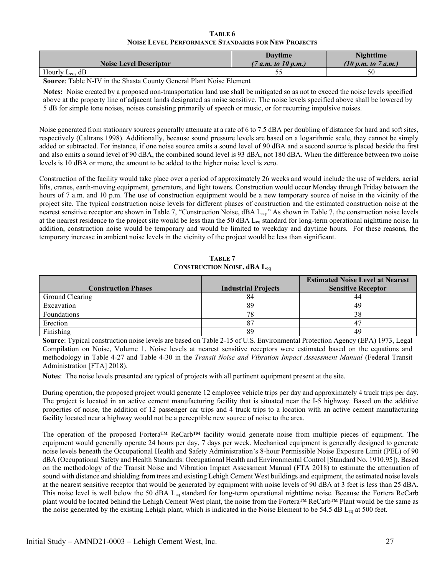| TABLE 6                                                   |
|-----------------------------------------------------------|
| <b>NOISE LEVEL PERFORMANCE STANDARDS FOR NEW PROJECTS</b> |

<span id="page-29-0"></span>

| <b>Noise Level Descriptor</b> | <b>Davtime</b><br>(7 a.m. to 10 p.m.) | <b>Nighttime</b><br>(10 p.m. to 7 a.m.) |
|-------------------------------|---------------------------------------|-----------------------------------------|
| Hourly $L_{eq}$ , dB          |                                       | 50                                      |

**Source**: Table N-IV in the Shasta County General Plant Noise Element

**Notes:** Noise created by a proposed non-transportation land use shall be mitigated so as not to exceed the noise levels specified above at the property line of adjacent lands designated as noise sensitive. The noise levels specified above shall be lowered by 5 dB for simple tone noises, noises consisting primarily of speech or music, or for recurring impulsive noises.

Noise generated from stationary sources generally attenuate at a rate of 6 to 7.5 dBA per doubling of distance for hard and soft sites, respectively (Caltrans 1998). Additionally, because sound pressure levels are based on a logarithmic scale, they cannot be simply added or subtracted. For instance, if one noise source emits a sound level of 90 dBA and a second source is placed beside the first and also emits a sound level of 90 dBA, the combined sound level is 93 dBA, not 180 dBA. When the difference between two noise levels is 10 dBA or more, the amount to be added to the higher noise level is zero.

Construction of the facility would take place over a period of approximately 26 weeks and would include the use of welders, aerial lifts, cranes, earth-moving equipment, generators, and light towers. Construction would occur Monday through Friday between the hours of 7 a.m. and 10 p.m. The use of construction equipment would be a new temporary source of noise in the vicinity of the project site. The typical construction noise levels for different phases of construction and the estimated construction noise at the nearest sensitive receptor are shown in Table 7, "Construction Noise, dBA Leq." As shown in Table 7, the construction noise levels at the nearest residence to the project site would be less than the 50 dBA  $L_{eq}$  standard for long-term operational nighttime noise. In addition, construction noise would be temporary and would be limited to weekday and daytime hours. For these reasons, the temporary increase in ambient noise levels in the vicinity of the project would be less than significant.

**TABLE 7 CONSTRUCTION NOISE, dBA Leq**

<span id="page-29-1"></span>

|                            |                            | <b>Estimated Noise Level at Nearest</b> |
|----------------------------|----------------------------|-----------------------------------------|
| <b>Construction Phases</b> | <b>Industrial Projects</b> | <b>Sensitive Receptor</b>               |
| Ground Clearing            | 84                         |                                         |
| Excavation                 | 89                         | 49                                      |
| Foundations                | 78                         | 38                                      |
| Erection                   |                            |                                         |
| Finishing                  | 89                         | 49                                      |

**Source**: Typical construction noise levels are based on Table 2-15 of U.S. Environmental Protection Agency (EPA) 1973, Legal Compilation on Noise, Volume 1. Noise levels at nearest sensitive receptors were estimated based on the equations and methodology in Table 4-27 and Table 4-30 in the *Transit Noise and Vibration Impact Assessment Manual* (Federal Transit Administration [FTA] 2018).

**Notes**: The noise levels presented are typical of projects with all pertinent equipment present at the site.

During operation, the proposed project would generate 12 employee vehicle trips per day and approximately 4 truck trips per day. The project is located in an active cement manufacturing facility that is situated near the I-5 highway. Based on the additive properties of noise, the addition of 12 passenger car trips and 4 truck trips to a location with an active cement manufacturing facility located near a highway would not be a perceptible new source of noise to the area.

The operation of the proposed Fortera™ ReCarb™ facility would generate noise from multiple pieces of equipment. The equipment would generally operate 24 hours per day, 7 days per week. Mechanical equipment is generally designed to generate noise levels beneath the Occupational Health and Safety Administration's 8-hour Permissible Noise Exposure Limit (PEL) of 90 dBA (Occupational Safety and Health Standards: Occupational Health and Environmental Control [Standard No. 1910.95]). Based on the methodology of the Transit Noise and Vibration Impact Assessment Manual (FTA 2018) to estimate the attenuation of sound with distance and shielding from trees and existing Lehigh Cement West buildings and equipment, the estimated noise levels at the nearest sensitive receptor that would be generated by equipment with noise levels of 90 dBA at 3 feet is less than 25 dBA. This noise level is well below the 50 dBA  $L_{eq}$  standard for long-term operational nighttime noise. Because the Fortera ReCarb plant would be located behind the Lehigh Cement West plant, the noise from the Fortera™ ReCarb™ Plant would be the same as the noise generated by the existing Lehigh plant, which is indicated in the Noise Element to be 54.5 dB  $L_{eq}$  at 500 feet.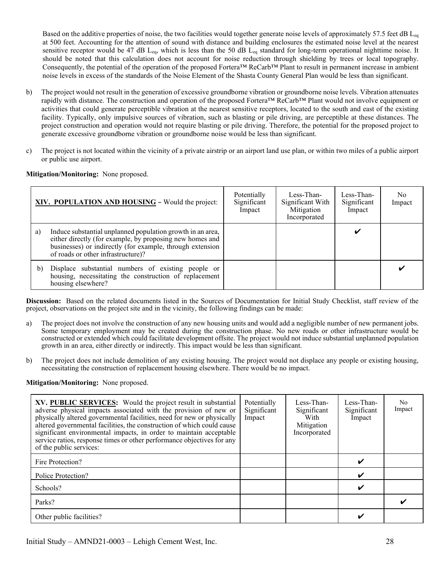Based on the additive properties of noise, the two facilities would together generate noise levels of approximately 57.5 feet dB  $L_{eq}$ at 500 feet. Accounting for the attention of sound with distance and building enclosures the estimated noise level at the nearest sensitive receptor would be 47 dB L<sub>eq</sub>, which is less than the 50 dB L<sub>eq</sub> standard for long-term operational nighttime noise. It should be noted that this calculation does not account for noise reduction through shielding by trees or local topography. Consequently, the potential of the operation of the proposed Fortera™ ReCarb™ Plant to result in permanent increase in ambient noise levels in excess of the standards of the Noise Element of the Shasta County General Plan would be less than significant.

- b) The project would not result in the generation of excessive groundborne vibration or groundborne noise levels. Vibration attenuates rapidly with distance. The construction and operation of the proposed Fortera™ ReCarb™ Plant would not involve equipment or activities that could generate perceptible vibration at the nearest sensitive receptors, located to the south and east of the existing facility. Typically, only impulsive sources of vibration, such as blasting or pile driving, are perceptible at these distances. The project construction and operation would not require blasting or pile driving. Therefore, the potential for the proposed project to generate excessive groundborne vibration or groundborne noise would be less than significant.
- c) The project is not located within the vicinity of a private airstrip or an airport land use plan, or within two miles of a public airport or public use airport.

**Mitigation/Monitoring:** None proposed.

|    | XIV. POPULATION AND HOUSING - Would the project:                                                                                                                                                                          | Potentially<br>Significant<br>Impact | Less-Than-<br>Significant With<br>Mitigation<br>Incorporated | Less-Than-<br>Significant<br>Impact | No<br>Impact |
|----|---------------------------------------------------------------------------------------------------------------------------------------------------------------------------------------------------------------------------|--------------------------------------|--------------------------------------------------------------|-------------------------------------|--------------|
| a) | Induce substantial unplanned population growth in an area,<br>either directly (for example, by proposing new homes and<br>businesses) or indirectly (for example, through extension<br>of roads or other infrastructure)? |                                      |                                                              |                                     |              |
| b) | Displace substantial numbers of existing people or<br>housing, necessitating the construction of replacement<br>housing elsewhere?                                                                                        |                                      |                                                              |                                     |              |

**Discussion:** Based on the related documents listed in the Sources of Documentation for Initial Study Checklist, staff review of the project, observations on the project site and in the vicinity, the following findings can be made:

- a) The project does not involve the construction of any new housing units and would add a negligible number of new permanent jobs. Some temporary employment may be created during the construction phase. No new roads or other infrastructure would be constructed or extended which could facilitate development offsite. The project would not induce substantial unplanned population growth in an area, either directly or indirectly. This impact would be less than significant.
- b) The project does not include demolition of any existing housing. The project would not displace any people or existing housing, necessitating the construction of replacement housing elsewhere. There would be no impact.

#### **Mitigation/Monitoring:** None proposed.

| XV. PUBLIC SERVICES: Would the project result in substantial<br>adverse physical impacts associated with the provision of new or<br>physically altered governmental facilities, need for new or physically<br>altered governmental facilities, the construction of which could cause<br>significant environmental impacts, in order to maintain acceptable<br>service ratios, response times or other performance objectives for any<br>of the public services: | Potentially<br>Significant<br>Impact | Less-Than-<br>Significant<br>With<br>Mitigation<br>Incorporated | Less-Than-<br>Significant<br>Impact | N <sub>0</sub><br>Impact |
|-----------------------------------------------------------------------------------------------------------------------------------------------------------------------------------------------------------------------------------------------------------------------------------------------------------------------------------------------------------------------------------------------------------------------------------------------------------------|--------------------------------------|-----------------------------------------------------------------|-------------------------------------|--------------------------|
| Fire Protection?                                                                                                                                                                                                                                                                                                                                                                                                                                                |                                      |                                                                 | ✔                                   |                          |
| Police Protection?                                                                                                                                                                                                                                                                                                                                                                                                                                              |                                      |                                                                 | ✔                                   |                          |
| Schools?                                                                                                                                                                                                                                                                                                                                                                                                                                                        |                                      |                                                                 |                                     |                          |
| Parks?                                                                                                                                                                                                                                                                                                                                                                                                                                                          |                                      |                                                                 |                                     |                          |
| Other public facilities?                                                                                                                                                                                                                                                                                                                                                                                                                                        |                                      |                                                                 | ັ                                   |                          |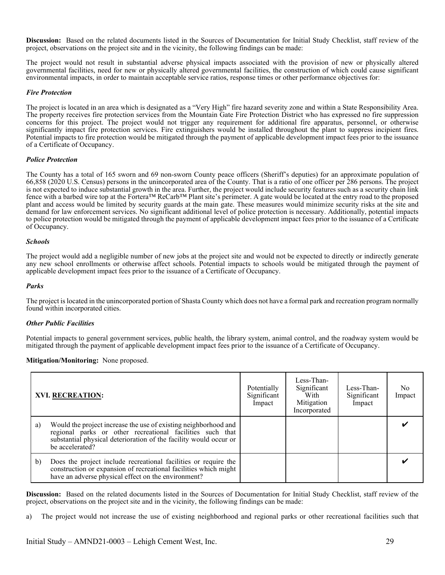The project would not result in substantial adverse physical impacts associated with the provision of new or physically altered governmental facilities, need for new or physically altered governmental facilities, the construction of which could cause significant environmental impacts, in order to maintain acceptable service ratios, response times or other performance objectives for:

#### *Fire Protection*

The project is located in an area which is designated as a "Very High" fire hazard severity zone and within a State Responsibility Area. The property receives fire protection services from the Mountain Gate Fire Protection District who has expressed no fire suppression concerns for this project. The project would not trigger any requirement for additional fire apparatus, personnel, or otherwise significantly impact fire protection services. Fire extinguishers would be installed throughout the plant to suppress incipient fires. Potential impacts to fire protection would be mitigated through the payment of applicable development impact fees prior to the issuance of a Certificate of Occupancy.

#### *Police Protection*

The County has a total of 165 sworn and 69 non-sworn County peace officers (Sheriff's deputies) for an approximate population of 66,858 (2020 U.S. Census) persons in the unincorporated area of the County. That is a ratio of one officer per 286 persons. The project is not expected to induce substantial growth in the area. Further, the project would include security features such as a security chain link fence with a barbed wire top at the Fortera™ ReCarb™ Plant site's perimeter. A gate would be located at the entry road to the proposed plant and access would be limited by security guards at the main gate. These measures would minimize security risks at the site and demand for law enforcement services. No significant additional level of police protection is necessary. Additionally, potential impacts to police protection would be mitigated through the payment of applicable development impact fees prior to the issuance of a Certificate of Occupancy.

#### *Schools*

The project would add a negligible number of new jobs at the project site and would not be expected to directly or indirectly generate any new school enrollments or otherwise affect schools. Potential impacts to schools would be mitigated through the payment of applicable development impact fees prior to the issuance of a Certificate of Occupancy.

#### *Parks*

The project is located in the unincorporated portion of Shasta County which does not have a formal park and recreation program normally found within incorporated cities.

#### *Other Public Facilities*

Potential impacts to general government services, public health, the library system, animal control, and the roadway system would be mitigated through the payment of applicable development impact fees prior to the issuance of a Certificate of Occupancy.

#### **Mitigation/Monitoring:** None proposed.

|    | <b>XVI. RECREATION:</b>                                                                                                                                                                                              | Potentially<br>Significant<br>Impact | Less-Than-<br>Significant<br>With<br>Mitigation<br>Incorporated | Less-Than-<br>Significant<br>Impact | No.<br>Impact |
|----|----------------------------------------------------------------------------------------------------------------------------------------------------------------------------------------------------------------------|--------------------------------------|-----------------------------------------------------------------|-------------------------------------|---------------|
| a) | Would the project increase the use of existing neighborhood and<br>regional parks or other recreational facilities such that<br>substantial physical deterioration of the facility would occur or<br>be accelerated? |                                      |                                                                 |                                     |               |
| b) | Does the project include recreational facilities or require the<br>construction or expansion of recreational facilities which might<br>have an adverse physical effect on the environment?                           |                                      |                                                                 |                                     |               |

**Discussion:** Based on the related documents listed in the Sources of Documentation for Initial Study Checklist, staff review of the project, observations on the project site and in the vicinity, the following findings can be made:

a) The project would not increase the use of existing neighborhood and regional parks or other recreational facilities such that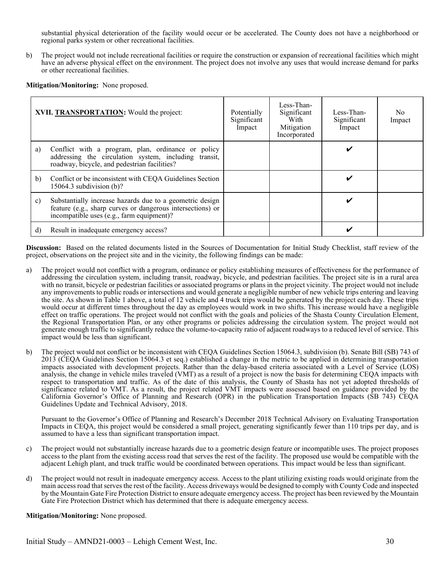substantial physical deterioration of the facility would occur or be accelerated. The County does not have a neighborhood or regional parks system or other recreational facilities.

b) The project would not include recreational facilities or require the construction or expansion of recreational facilities which might have an adverse physical effect on the environment. The project does not involve any uses that would increase demand for parks or other recreational facilities.

**Mitigation/Monitoring:** None proposed.

|              | XVII. TRANSPORTATION: Would the project:                                                                                                                            | Potentially<br>Significant<br>Impact | Less-Than-<br>Significant<br>With<br>Mitigation<br>Incorporated | Less-Than-<br>Significant<br>Impact | No.<br>Impact |
|--------------|---------------------------------------------------------------------------------------------------------------------------------------------------------------------|--------------------------------------|-----------------------------------------------------------------|-------------------------------------|---------------|
| a)           | Conflict with a program, plan, ordinance or policy<br>addressing the circulation system, including transit,<br>roadway, bicycle, and pedestrian facilities?         |                                      |                                                                 |                                     |               |
| b)           | Conflict or be inconsistent with CEQA Guidelines Section<br>$15064.3$ subdivision (b)?                                                                              |                                      |                                                                 |                                     |               |
| $\mathbf{c}$ | Substantially increase hazards due to a geometric design<br>feature (e.g., sharp curves or dangerous intersections) or<br>incompatible uses (e.g., farm equipment)? |                                      |                                                                 | ັ                                   |               |
| d)           | Result in inadequate emergency access?                                                                                                                              |                                      |                                                                 | ✔                                   |               |

**Discussion:** Based on the related documents listed in the Sources of Documentation for Initial Study Checklist, staff review of the project, observations on the project site and in the vicinity, the following findings can be made:

- a) The project would not conflict with a program, ordinance or policy establishing measures of effectiveness for the performance of addressing the circulation system, including transit, roadway, bicycle, and pedestrian facilities. The project site is in a rural area with no transit, bicycle or pedestrian facilities or associated programs or plans in the project vicinity. The project would not include any improvements to public roads or intersections and would generate a negligible number of new vehicle trips entering and leaving the site. As shown in Table 1 above, a total of 12 vehicle and 4 truck trips would be generated by the project each day. These trips would occur at different times throughout the day as employees would work in two shifts. This increase would have a negligible effect on traffic operations. The project would not conflict with the goals and policies of the Shasta County Circulation Element, the Regional Transportation Plan, or any other programs or policies addressing the circulation system. The project would not generate enough traffic to significantly reduce the volume-to-capacity ratio of adjacent roadways to a reduced level of service. This impact would be less than significant.
- b) The project would not conflict or be inconsistent with CEQA Guidelines Section 15064.3, subdivision (b). Senate Bill (SB) 743 of 2013 (CEQA Guidelines Section 15064.3 et seq.) established a change in the metric to be applied in determining transportation impacts associated with development projects. Rather than the delay-based criteria associated with a Level of Service (LOS) analysis, the change in vehicle miles traveled (VMT) as a result of a project is now the basis for determining CEQA impacts with respect to transportation and traffic. As of the date of this analysis, the County of Shasta has not yet adopted thresholds of significance related to VMT. As a result, the project related VMT impacts were assessed based on guidance provided by the California Governor's Office of Planning and Research (OPR) in the publication Transportation Impacts (SB 743) CEQA Guidelines Update and Technical Advisory, 2018.

Pursuant to the Governor's Office of Planning and Research's December 2018 Technical Advisory on Evaluating Transportation Impacts in CEQA, this project would be considered a small project, generating significantly fewer than 110 trips per day, and is assumed to have a less than significant transportation impact.

- c) The project would not substantially increase hazards due to a geometric design feature or incompatible uses. The project proposes access to the plant from the existing access road that serves the rest of the facility. The proposed use would be compatible with the adjacent Lehigh plant, and truck traffic would be coordinated between operations. This impact would be less than significant.
- d) The project would not result in inadequate emergency access. Access to the plant utilizing existing roads would originate from the main access road that serves the rest of the facility. Access driveways would be designed to comply with County Code and inspected by the Mountain Gate Fire Protection District to ensure adequate emergency access. The project has been reviewed by the Mountain Gate Fire Protection District which has determined that there is adequate emergency access.

**Mitigation/Monitoring:** None proposed.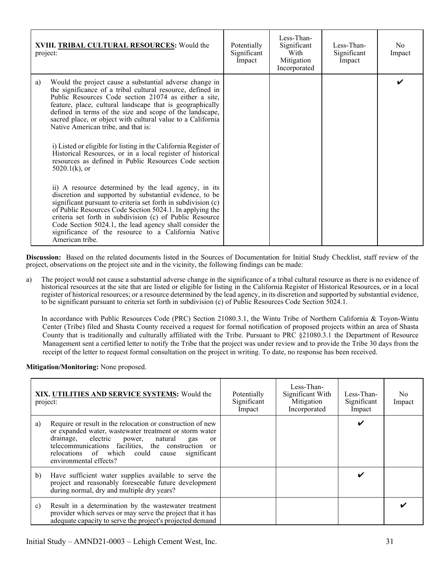| XVIII. TRIBAL CULTURAL RESOURCES: Would the<br>project: |                                                                                                                                                                                                                                                                                                                                                                                                                                                                                                                                                                                                                                                                                                                                                                                                                                                                                                                                                                                                                                                                              | Potentially<br>Significant<br>Impact | Less-Than-<br>Significant<br>With<br>Mitigation<br>Incorporated | Less-Than-<br>Significant<br>Impact | No.<br>Impact |
|---------------------------------------------------------|------------------------------------------------------------------------------------------------------------------------------------------------------------------------------------------------------------------------------------------------------------------------------------------------------------------------------------------------------------------------------------------------------------------------------------------------------------------------------------------------------------------------------------------------------------------------------------------------------------------------------------------------------------------------------------------------------------------------------------------------------------------------------------------------------------------------------------------------------------------------------------------------------------------------------------------------------------------------------------------------------------------------------------------------------------------------------|--------------------------------------|-----------------------------------------------------------------|-------------------------------------|---------------|
| a)                                                      | Would the project cause a substantial adverse change in<br>the significance of a tribal cultural resource, defined in<br>Public Resources Code section 21074 as either a site,<br>feature, place, cultural landscape that is geographically<br>defined in terms of the size and scope of the landscape,<br>sacred place, or object with cultural value to a California<br>Native American tribe, and that is:<br>i) Listed or eligible for listing in the California Register of<br>Historical Resources, or in a local register of historical<br>resources as defined in Public Resources Code section<br>$5020.1(k)$ , or<br>ii) A resource determined by the lead agency, in its<br>discretion and supported by substantial evidence, to be<br>significant pursuant to criteria set forth in subdivision (c)<br>of Public Resources Code Section 5024.1. In applying the<br>criteria set forth in subdivision (c) of Public Resource<br>Code Section 5024.1, the lead agency shall consider the<br>significance of the resource to a California Native<br>American tribe. |                                      |                                                                 |                                     |               |

a) The project would not cause a substantial adverse change in the significance of a tribal cultural resource as there is no evidence of historical resources at the site that are listed or eligible for listing in the California Register of Historical Resources, or in a local register of historical resources; or a resource determined by the lead agency, in its discretion and supported by substantial evidence, to be significant pursuant to criteria set forth in subdivision (c) of Public Resources Code Section 5024.1.

In accordance with Public Resources Code (PRC) Section 21080.3.1, the Wintu Tribe of Northern California & Toyon-Wintu Center (Tribe) filed and Shasta County received a request for formal notification of proposed projects within an area of Shasta County that is traditionally and culturally affiliated with the Tribe. Pursuant to PRC §21080.3.1 the Department of Resource Management sent a certified letter to notify the Tribe that the project was under review and to provide the Tribe 30 days from the receipt of the letter to request formal consultation on the project in writing. To date, no response has been received.

**Mitigation/Monitoring:** None proposed.

|    | XIX. UTILITIES AND SERVICE SYSTEMS: Would the<br>project:                                                                                                                                                                                                                                                 | Potentially<br>Significant<br>Impact | Less-Than-<br>Significant With<br>Mitigation<br>Incorporated | Less-Than-<br>Significant<br>Impact | N <sub>0</sub><br>Impact |
|----|-----------------------------------------------------------------------------------------------------------------------------------------------------------------------------------------------------------------------------------------------------------------------------------------------------------|--------------------------------------|--------------------------------------------------------------|-------------------------------------|--------------------------|
| a) | Require or result in the relocation or construction of new<br>or expanded water, wastewater treatment or storm water<br>drainage, electric power, natural<br>gas<br>0r<br>telecommunications facilities, the construction or<br>relocations of which could cause<br>significant<br>environmental effects? |                                      |                                                              | ✔                                   |                          |
| b) | Have sufficient water supplies available to serve the<br>project and reasonably foreseeable future development<br>during normal, dry and multiple dry years?                                                                                                                                              |                                      |                                                              |                                     |                          |
| c) | Result in a determination by the wastewater treatment<br>provider which serves or may serve the project that it has<br>adequate capacity to serve the project's projected demand                                                                                                                          |                                      |                                                              |                                     |                          |

Initial Study – AMND21-0003 – Lehigh Cement West, Inc. 31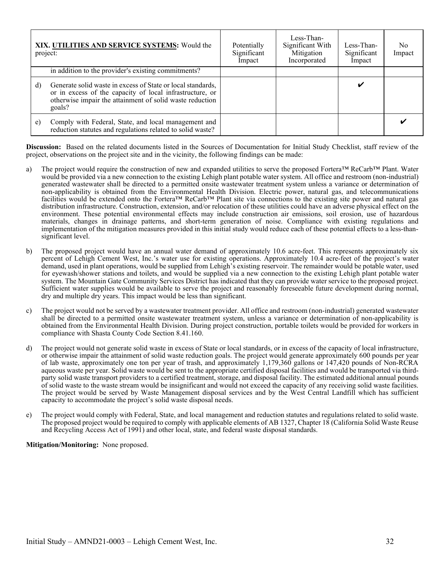| project: | XIX. UTILITIES AND SERVICE SYSTEMS: Would the                                                                                                                                                 | Potentially<br>Significant<br>Impact | Less-Than-<br>Significant With<br>Mitigation<br>Incorporated | Less-Than-<br>Significant<br>Impact | No<br>Impact |
|----------|-----------------------------------------------------------------------------------------------------------------------------------------------------------------------------------------------|--------------------------------------|--------------------------------------------------------------|-------------------------------------|--------------|
|          | in addition to the provider's existing commitments?                                                                                                                                           |                                      |                                                              |                                     |              |
| d)       | Generate solid waste in excess of State or local standards,<br>or in excess of the capacity of local infrastructure, or<br>otherwise impair the attainment of solid waste reduction<br>goals? |                                      |                                                              | V                                   |              |
| e)       | Comply with Federal, State, and local management and<br>reduction statutes and regulations related to solid waste?                                                                            |                                      |                                                              |                                     |              |

- a) The project would require the construction of new and expanded utilities to serve the proposed Fortera™ ReCarb™ Plant. Water would be provided via a new connection to the existing Lehigh plant potable water system. All office and restroom (non-industrial) generated wastewater shall be directed to a permitted onsite wastewater treatment system unless a variance or determination of non-applicability is obtained from the Environmental Health Division. Electric power, natural gas, and telecommunications facilities would be extended onto the Fortera™ ReCarb™ Plant site via connections to the existing site power and natural gas distribution infrastructure. Construction, extension, and/or relocation of these utilities could have an adverse physical effect on the environment. These potential environmental effects may include construction air emissions, soil erosion, use of hazardous materials, changes in drainage patterns, and short-term generation of noise. Compliance with existing regulations and implementation of the mitigation measures provided in this initial study would reduce each of these potential effects to a less-thansignificant level.
- b) The proposed project would have an annual water demand of approximately 10.6 acre-feet. This represents approximately six percent of Lehigh Cement West, Inc.'s water use for existing operations. Approximately 10.4 acre-feet of the project's water demand, used in plant operations, would be supplied from Lehigh's existing reservoir. The remainder would be potable water, used for eyewash/shower stations and toilets, and would be supplied via a new connection to the existing Lehigh plant potable water system. The Mountain Gate Community Services District has indicated that they can provide water service to the proposed project. Sufficient water supplies would be available to serve the project and reasonably foreseeable future development during normal, dry and multiple dry years. This impact would be less than significant.
- c) The project would not be served by a wastewater treatment provider. All office and restroom (non-industrial) generated wastewater shall be directed to a permitted onsite wastewater treatment system, unless a variance or determination of non-applicability is obtained from the Environmental Health Division. During project construction, portable toilets would be provided for workers in compliance with Shasta County Code Section 8.41.160.
- d) The project would not generate solid waste in excess of State or local standards, or in excess of the capacity of local infrastructure, or otherwise impair the attainment of solid waste reduction goals. The project would generate approximately 600 pounds per year of lab waste, approximately one ton per year of trash, and approximately 1,179,360 gallons or 147,420 pounds of Non-RCRA aqueous waste per year. Solid waste would be sent to the appropriate certified disposal facilities and would be transported via thirdparty solid waste transport providers to a certified treatment, storage, and disposal facility. The estimated additional annual pounds of solid waste to the waste stream would be insignificant and would not exceed the capacity of any receiving solid waste facilities. The project would be served by Waste Management disposal services and by the West Central Landfill which has sufficient capacity to accommodate the project's solid waste disposal needs.
- e) The project would comply with Federal, State, and local management and reduction statutes and regulations related to solid waste. The proposed project would be required to comply with applicable elements of AB 1327, Chapter 18 (California Solid Waste Reuse and Recycling Access Act of 1991) and other local, state, and federal waste disposal standards.

#### **Mitigation/Monitoring:** None proposed.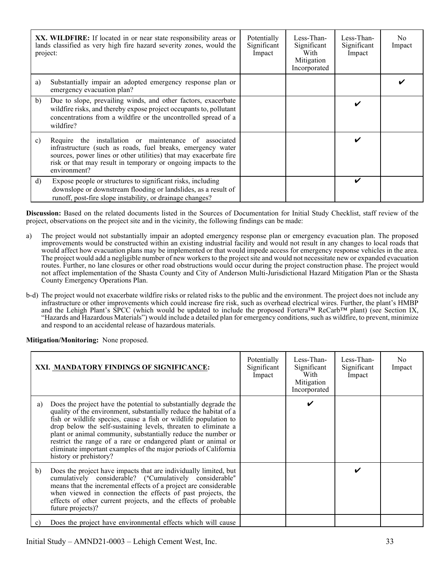| project: | <b>XX. WILDFIRE:</b> If located in or near state responsibility areas or<br>lands classified as very high fire hazard severity zones, would the                                                                                                                             | Potentially<br>Significant<br>Impact | Less-Than-<br>Significant<br>With<br>Mitigation<br>Incorporated | Less-Than-<br>Significant<br>Impact | No.<br>Impact |
|----------|-----------------------------------------------------------------------------------------------------------------------------------------------------------------------------------------------------------------------------------------------------------------------------|--------------------------------------|-----------------------------------------------------------------|-------------------------------------|---------------|
| a)       | Substantially impair an adopted emergency response plan or<br>emergency evacuation plan?                                                                                                                                                                                    |                                      |                                                                 |                                     |               |
| b)       | Due to slope, prevailing winds, and other factors, exacerbate<br>wildfire risks, and thereby expose project occupants to, pollutant<br>concentrations from a wildfire or the uncontrolled spread of a<br>wildfire?                                                          |                                      |                                                                 |                                     |               |
| c)       | Require the installation or maintenance of associated<br>infrastructure (such as roads, fuel breaks, emergency water<br>sources, power lines or other utilities) that may exacerbate fire<br>risk or that may result in temporary or ongoing impacts to the<br>environment? |                                      |                                                                 | ✔                                   |               |
| d)       | Expose people or structures to significant risks, including<br>downslope or downstream flooding or landslides, as a result of<br>runoff, post-fire slope instability, or drainage changes?                                                                                  |                                      |                                                                 | V                                   |               |

- a) The project would not substantially impair an adopted emergency response plan or emergency evacuation plan. The proposed improvements would be constructed within an existing industrial facility and would not result in any changes to local roads that would affect how evacuation plans may be implemented or that would impede access for emergency response vehicles in the area. The project would add a negligible number of new workers to the project site and would not necessitate new or expanded evacuation routes. Further, no lane closures or other road obstructions would occur during the project construction phase. The project would not affect implementation of the Shasta County and City of Anderson Multi-Jurisdictional Hazard Mitigation Plan or the Shasta County Emergency Operations Plan.
- b-d) The project would not exacerbate wildfire risks or related risks to the public and the environment. The project does not include any infrastructure or other improvements which could increase fire risk, such as overhead electrical wires. Further, the plant's HMBP and the Lehigh Plant's SPCC (which would be updated to include the proposed Fortera™ ReCarb™ plant) (see Section IX, "Hazards and Hazardous Materials") would include a detailed plan for emergency conditions, such as wildfire, to prevent, minimize and respond to an accidental release of hazardous materials.

**Mitigation/Monitoring:** None proposed.

|    | XXI. MANDATORY FINDINGS OF SIGNIFICANCE:                                                                                                                                                                                                                                                                                                                                                                                                                                                                   | Potentially<br>Significant<br>Impact | Less-Than-<br>Significant<br>With<br>Mitigation<br>Incorporated | Less-Than-<br>Significant<br>Impact | No.<br>Impact |
|----|------------------------------------------------------------------------------------------------------------------------------------------------------------------------------------------------------------------------------------------------------------------------------------------------------------------------------------------------------------------------------------------------------------------------------------------------------------------------------------------------------------|--------------------------------------|-----------------------------------------------------------------|-------------------------------------|---------------|
| a) | Does the project have the potential to substantially degrade the<br>quality of the environment, substantially reduce the habitat of a<br>fish or wildlife species, cause a fish or wildlife population to<br>drop below the self-sustaining levels, threaten to eliminate a<br>plant or animal community, substantially reduce the number or<br>restrict the range of a rare or endangered plant or animal or<br>eliminate important examples of the major periods of California<br>history or prehistory? |                                      | v                                                               |                                     |               |
| b) | Does the project have impacts that are individually limited, but<br>cumulatively considerable? ("Cumulatively considerable"<br>means that the incremental effects of a project are considerable<br>when viewed in connection the effects of past projects, the<br>effects of other current projects, and the effects of probable<br>future projects)?                                                                                                                                                      |                                      |                                                                 | ✔                                   |               |
| C) | Does the project have environmental effects which will cause                                                                                                                                                                                                                                                                                                                                                                                                                                               |                                      |                                                                 |                                     |               |

Initial Study – AMND21-0003 – Lehigh Cement West, Inc. 33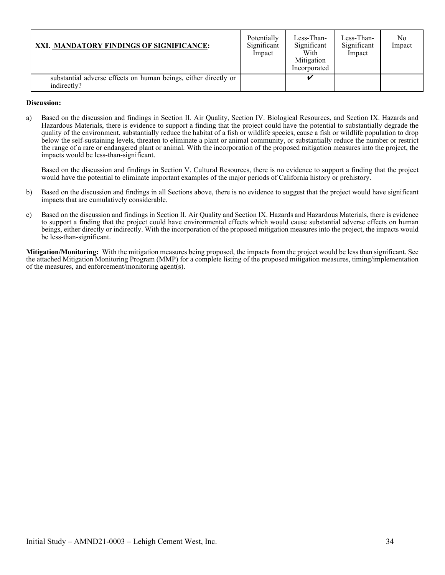| XXI. MANDATORY FINDINGS OF SIGNIFICANCE:                                       | Potentially<br>Significant<br>Impact | Less-Than-<br>Significant<br>With<br>Mitigation<br>Incorporated | Less-Than-<br>Significant<br>Impact | N <sub>0</sub><br>Impact |
|--------------------------------------------------------------------------------|--------------------------------------|-----------------------------------------------------------------|-------------------------------------|--------------------------|
| substantial adverse effects on human beings, either directly or<br>indirectly? |                                      |                                                                 |                                     |                          |

#### **Discussion:**

a) Based on the discussion and findings in Section II. Air Quality, Section IV. Biological Resources, and Section IX. Hazards and Hazardous Materials, there is evidence to support a finding that the project could have the potential to substantially degrade the quality of the environment, substantially reduce the habitat of a fish or wildlife species, cause a fish or wildlife population to drop below the self-sustaining levels, threaten to eliminate a plant or animal community, or substantially reduce the number or restrict the range of a rare or endangered plant or animal. With the incorporation of the proposed mitigation measures into the project, the impacts would be less-than-significant.

Based on the discussion and findings in Section V. Cultural Resources, there is no evidence to support a finding that the project would have the potential to eliminate important examples of the major periods of California history or prehistory.

- b) Based on the discussion and findings in all Sections above, there is no evidence to suggest that the project would have significant impacts that are cumulatively considerable.
- c) Based on the discussion and findings in Section II. Air Quality and Section IX. Hazards and Hazardous Materials, there is evidence to support a finding that the project could have environmental effects which would cause substantial adverse effects on human beings, either directly or indirectly. With the incorporation of the proposed mitigation measures into the project, the impacts would be less-than-significant.

**Mitigation/Monitoring:** With the mitigation measures being proposed, the impacts from the project would be less than significant. See the attached Mitigation Monitoring Program (MMP) for a complete listing of the proposed mitigation measures, timing/implementation of the measures, and enforcement/monitoring agent(s).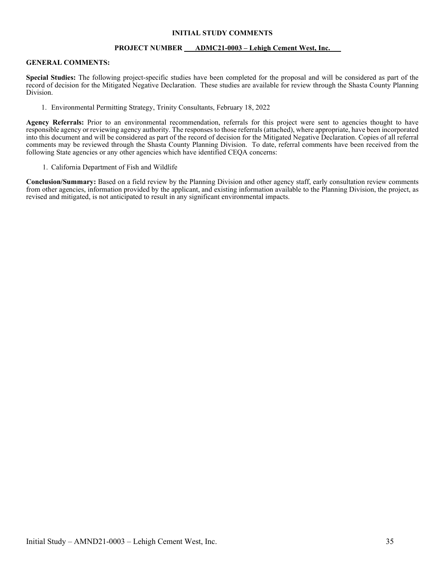#### **INITIAL STUDY COMMENTS**

#### **PROJECT NUMBER ADMC21-0003 – Lehigh Cement West, Inc.**

#### **GENERAL COMMENTS:**

**Special Studies:** The following project-specific studies have been completed for the proposal and will be considered as part of the record of decision for the Mitigated Negative Declaration. These studies are available for review through the Shasta County Planning Division.

1. Environmental Permitting Strategy, Trinity Consultants, February 18, 2022

Agency Referrals: Prior to an environmental recommendation, referrals for this project were sent to agencies thought to have responsible agency or reviewing agency authority. The responses to those referrals (attached), where appropriate, have been incorporated into this document and will be considered as part of the record of decision for the Mitigated Negative Declaration. Copies of all referral comments may be reviewed through the Shasta County Planning Division. To date, referral comments have been received from the following State agencies or any other agencies which have identified CEQA concerns:

1. California Department of Fish and Wildlife

**Conclusion/Summary:** Based on a field review by the Planning Division and other agency staff, early consultation review comments from other agencies, information provided by the applicant, and existing information available to the Planning Division, the project, as revised and mitigated, is not anticipated to result in any significant environmental impacts.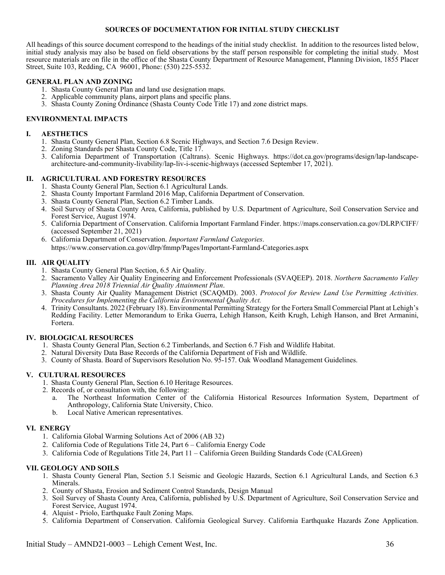#### **SOURCES OF DOCUMENTATION FOR INITIAL STUDY CHECKLIST**

All headings of this source document correspond to the headings of the initial study checklist. In addition to the resources listed below, initial study analysis may also be based on field observations by the staff person responsible for completing the initial study. Most resource materials are on file in the office of the Shasta County Department of Resource Management, Planning Division, 1855 Placer Street, Suite 103, Redding, CA 96001, Phone: (530) 225-5532.

#### **GENERAL PLAN AND ZONING**

- 1. Shasta County General Plan and land use designation maps.
- 2. Applicable community plans, airport plans and specific plans.
- 3. Shasta County Zoning Ordinance (Shasta County Code Title 17) and zone district maps.

#### **ENVIRONMENTAL IMPACTS**

#### **I. AESTHETICS**

- 1. Shasta County General Plan, Section 6.8 Scenic Highways, and Section 7.6 Design Review.
- 2. Zoning Standards per Shasta County Code, Title 17.
- 3. California Department of Transportation (Caltrans). Scenic Highways. https://dot.ca.gov/programs/design/lap-landscapearchitecture-and-community-livability/lap-liv-i-scenic-highways (accessed September 17, 2021).

#### **II. AGRICULTURAL AND FORESTRY RESOURCES**

- 1. Shasta County General Plan, Section 6.1 Agricultural Lands.
- 2. Shasta County Important Farmland 2016 Map, California Department of Conservation.
- 3. Shasta County General Plan, Section 6.2 Timber Lands.
- 4. Soil Survey of Shasta County Area, California, published by U.S. Department of Agriculture, Soil Conservation Service and Forest Service, August 1974.
- 5. California Department of Conservation. California Important Farmland Finder. https://maps.conservation.ca.gov/DLRP/CIFF/ (accessed September 21, 2021)
- 6. California Department of Conservation. *Important Farmland Categories*. https://www.conservation.ca.gov/dlrp/fmmp/Pages/Important-Farmland-Categories.aspx

#### **III. AIR QUALITY**

- 1. Shasta County General Plan Section, 6.5 Air Quality.
- 2. Sacramento Valley Air Quality Engineering and Enforcement Professionals (SVAQEEP). 2018. *Northern Sacramento Valley Planning Area 2018 Triennial Air Quality Attainment Plan*.
- 3. Shasta County Air Quality Management District (SCAQMD). 2003. *Protocol for Review Land Use Permitting Activities. Procedures for Implementing the California Environmental Quality Act.*
- 4. Trinity Consultants. 2022 (February 18). Environmental Permitting Strategy for the Fortera Small Commercial Plant at Lehigh's Redding Facility. Letter Memorandum to Erika Guerra, Lehigh Hanson, Keith Krugh, Lehigh Hanson, and Bret Armanini, Fortera.

#### **IV. BIOLOGICAL RESOURCES**

- 1. Shasta County General Plan, Section 6.2 Timberlands, and Section 6.7 Fish and Wildlife Habitat.
- 2. Natural Diversity Data Base Records of the California Department of Fish and Wildlife.
- 3. County of Shasta. Board of Supervisors Resolution No. 95-157. Oak Woodland Management Guidelines.

#### **V. CULTURAL RESOURCES**

- 1. Shasta County General Plan, Section 6.10 Heritage Resources.
- 2. Records of, or consultation with, the following:
	- a. The Northeast Information Center of the California Historical Resources Information System, Department of Anthropology, California State University, Chico.
	- b. Local Native American representatives.

#### **VI. ENERGY**

- 1. California Global Warming Solutions Act of 2006 (AB 32)
- 2. California Code of Regulations Title 24, Part 6 California Energy Code
- 3. California Code of Regulations Title 24, Part 11 California Green Building Standards Code (CALGreen)

#### **VII. GEOLOGY AND SOILS**

- 1. Shasta County General Plan, Section 5.1 Seismic and Geologic Hazards, Section 6.1 Agricultural Lands, and Section 6.3 Minerals.
- 2. County of Shasta, Erosion and Sediment Control Standards, Design Manual
- 3. Soil Survey of Shasta County Area, California, published by U.S. Department of Agriculture, Soil Conservation Service and Forest Service, August 1974.
- 4. Alquist Priolo, Earthquake Fault Zoning Maps.
- 5. California Department of Conservation. California Geological Survey. California Earthquake Hazards Zone Application.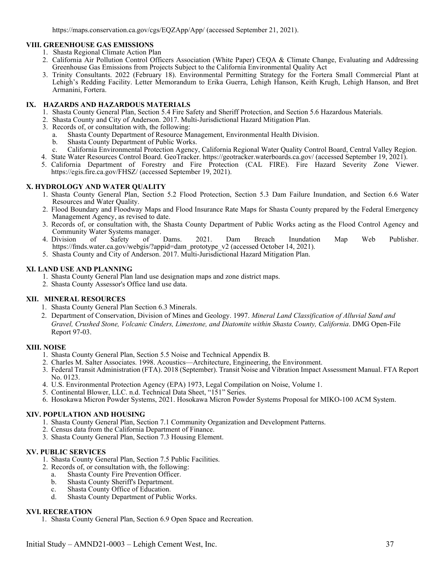https://maps.conservation.ca.gov/cgs/EQZApp/App/ (accessed September 21, 2021).

#### **VIII. GREENHOUSE GAS EMISSIONS**

- 1. Shasta Regional Climate Action Plan
- 2. California Air Pollution Control Officers Association (White Paper) CEQA & Climate Change, Evaluating and Addressing Greenhouse Gas Emissions from Projects Subject to the California Environmental Quality Act
- 3. Trinity Consultants. 2022 (February 18). Environmental Permitting Strategy for the Fortera Small Commercial Plant at Lehigh's Redding Facility. Letter Memorandum to Erika Guerra, Lehigh Hanson, Keith Krugh, Lehigh Hanson, and Bret Armanini, Fortera.

#### **IX. HAZARDS AND HAZARDOUS MATERIALS**

- 1. Shasta County General Plan, Section 5.4 Fire Safety and Sheriff Protection, and Section 5.6 Hazardous Materials.
- 2. Shasta County and City of Anderson. 2017. Multi-Jurisdictional Hazard Mitigation Plan.
- 3. Records of, or consultation with, the following:
	- a. Shasta County Department of Resource Management, Environmental Health Division.
	- b. Shasta County Department of Public Works.
	- c. California Environmental Protection Agency, California Regional Water Quality Control Board, Central Valley Region.
- 4. State Water Resources Control Board. GeoTracker. https://geotracker.waterboards.ca.gov/ (accessed September 19, 2021).
- 5. California Department of Forestry and Fire Protection (CAL FIRE). Fire Hazard Severity Zone Viewer. https://egis.fire.ca.gov/FHSZ/ (accessed September 19, 2021).

#### **X. HYDROLOGY AND WATER QUALITY**

- 1. Shasta County General Plan, Section 5.2 Flood Protection, Section 5.3 Dam Failure Inundation, and Section 6.6 Water Resources and Water Quality.
- 2. Flood Boundary and Floodway Maps and Flood Insurance Rate Maps for Shasta County prepared by the Federal Emergency Management Agency, as revised to date.
- 3. Records of, or consultation with, the Shasta County Department of Public Works acting as the Flood Control Agency and
- Community Water Systems manager.<br>4. Division of Safety of 4. Division of Safety of Dams. 2021. Dam Breach Inundation Map Web Publisher. https://fmds.water.ca.gov/webgis/?appid=dam\_prototype\_v2 (accessed October 14, 2021).
- 5. Shasta County and City of Anderson. 2017. Multi-Jurisdictional Hazard Mitigation Plan.

#### **XI. LAND USE AND PLANNING**

- 1. Shasta County General Plan land use designation maps and zone district maps.
- 2. Shasta County Assessor's Office land use data.

#### **XII. MINERAL RESOURCES**

- 1. Shasta County General Plan Section 6.3 Minerals.
- 2. Department of Conservation, Division of Mines and Geology. 1997. *Mineral Land Classification of Alluvial Sand and Gravel, Crushed Stone, Volcanic Cinders, Limestone, and Diatomite within Shasta County, California*. DMG Open-File Report 97-03.

#### **XIII. NOISE**

- 1. Shasta County General Plan, Section 5.5 Noise and Technical Appendix B.
- 2. Charles M. Salter Associates. 1998. Acoustics—Architecture, Engineering, the Environment.
- 3. Federal Transit Administration (FTA). 2018 (September). Transit Noise and Vibration Impact Assessment Manual. FTA Report No. 0123.
- 4. U.S. Environmental Protection Agency (EPA) 1973, Legal Compilation on Noise, Volume 1.
- 5. Continental Blower, LLC. n.d. Technical Data Sheet, "151" Series.
- 6. Hosokawa Micron Powder Systems, 2021. Hosokawa Micron Powder Systems Proposal for MIKO-100 ACM System.

#### **XIV. POPULATION AND HOUSING**

- 1. Shasta County General Plan, Section 7.1 Community Organization and Development Patterns.
- 2. Census data from the California Department of Finance.
- 3. Shasta County General Plan, Section 7.3 Housing Element.

#### **XV. PUBLIC SERVICES**

- 1. Shasta County General Plan, Section 7.5 Public Facilities.
- 2. Records of, or consultation with, the following:
	- a. Shasta County Fire Prevention Officer.
	- b. Shasta County Sheriff's Department.
	- c. Shasta County Office of Education.
	- d. Shasta County Department of Public Works.

#### **XVI. RECREATION**

1. Shasta County General Plan, Section 6.9 Open Space and Recreation.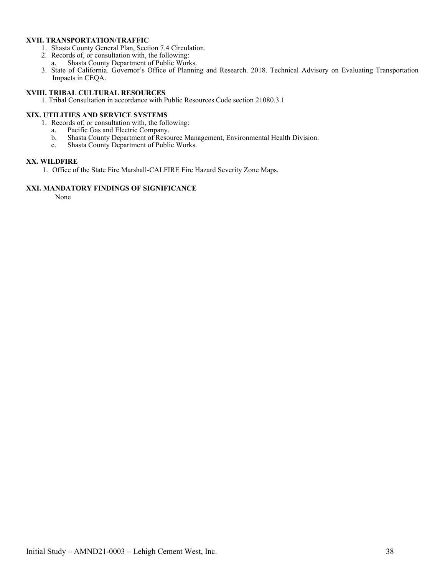#### **XVII. TRANSPORTATION/TRAFFIC**

- 1. Shasta County General Plan, Section 7.4 Circulation.
- 2. Records of, or consultation with, the following:
	- a. Shasta County Department of Public Works.
- 3. State of California. Governor's Office of Planning and Research. 2018. Technical Advisory on Evaluating Transportation Impacts in CEQA.

## **XVIII. TRIBAL CULTURAL RESOURCES**

1. Tribal Consultation in accordance with Public Resources Code section 21080.3.1

#### **XIX. UTILITIES AND SERVICE SYSTEMS**

- 1. Records of, or consultation with, the following:
	- a. Pacific Gas and Electric Company.
	- b. Shasta County Department of Resource Management, Environmental Health Division.
	- c. Shasta County Department of Public Works.

#### **XX. WILDFIRE**

1. Office of the State Fire Marshall-CALFIRE Fire Hazard Severity Zone Maps.

#### **XXI. MANDATORY FINDINGS OF SIGNIFICANCE**

None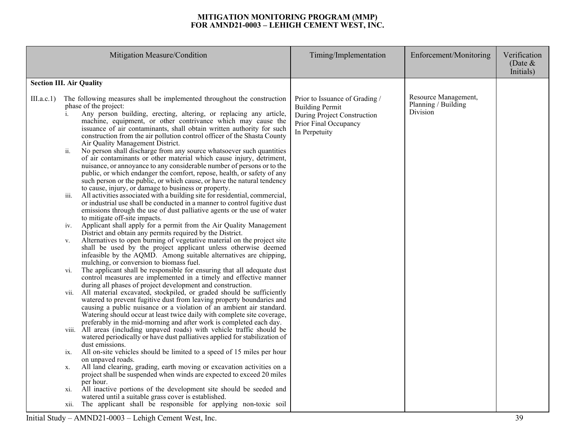#### **MITIGATION MONITORING PROGRAM (MMP) FOR AMND21-0003 – LEHIGH CEMENT WEST, INC.**

|            | Mitigation Measure/Condition                                                                                                                                                                                                                                                                                                                                                                                                                                                                                                                                                                                                                                                                                                                                                                                                                                                                                                                                                                                                                                                                                                                                                                                                                                                                                                                                                                                                                                                                                                                                                                                                                                                                                                                                                                                                                                                                                                                                                                                                                                                                                                                                                                                                                                                                                                                                                                                                                                                                                                                                                        | Timing/Implementation                                                                                                             | Enforcement/Monitoring                                  | Verification<br>(Date $&$ |
|------------|-------------------------------------------------------------------------------------------------------------------------------------------------------------------------------------------------------------------------------------------------------------------------------------------------------------------------------------------------------------------------------------------------------------------------------------------------------------------------------------------------------------------------------------------------------------------------------------------------------------------------------------------------------------------------------------------------------------------------------------------------------------------------------------------------------------------------------------------------------------------------------------------------------------------------------------------------------------------------------------------------------------------------------------------------------------------------------------------------------------------------------------------------------------------------------------------------------------------------------------------------------------------------------------------------------------------------------------------------------------------------------------------------------------------------------------------------------------------------------------------------------------------------------------------------------------------------------------------------------------------------------------------------------------------------------------------------------------------------------------------------------------------------------------------------------------------------------------------------------------------------------------------------------------------------------------------------------------------------------------------------------------------------------------------------------------------------------------------------------------------------------------------------------------------------------------------------------------------------------------------------------------------------------------------------------------------------------------------------------------------------------------------------------------------------------------------------------------------------------------------------------------------------------------------------------------------------------------|-----------------------------------------------------------------------------------------------------------------------------------|---------------------------------------------------------|---------------------------|
|            |                                                                                                                                                                                                                                                                                                                                                                                                                                                                                                                                                                                                                                                                                                                                                                                                                                                                                                                                                                                                                                                                                                                                                                                                                                                                                                                                                                                                                                                                                                                                                                                                                                                                                                                                                                                                                                                                                                                                                                                                                                                                                                                                                                                                                                                                                                                                                                                                                                                                                                                                                                                     |                                                                                                                                   |                                                         |                           |
|            |                                                                                                                                                                                                                                                                                                                                                                                                                                                                                                                                                                                                                                                                                                                                                                                                                                                                                                                                                                                                                                                                                                                                                                                                                                                                                                                                                                                                                                                                                                                                                                                                                                                                                                                                                                                                                                                                                                                                                                                                                                                                                                                                                                                                                                                                                                                                                                                                                                                                                                                                                                                     |                                                                                                                                   |                                                         |                           |
| III.a.c.1) | <b>Section III. Air Quality</b><br>The following measures shall be implemented throughout the construction<br>phase of the project:<br>Any person building, erecting, altering, or replacing any article,<br>machine, equipment, or other contrivance which may cause the<br>issuance of air contaminants, shall obtain written authority for such<br>construction from the air pollution control officer of the Shasta County<br>Air Quality Management District.<br>No person shall discharge from any source whatsoever such quantities<br>ii.<br>of air contaminants or other material which cause injury, detriment,<br>nuisance, or annoyance to any considerable number of persons or to the<br>public, or which endanger the comfort, repose, health, or safety of any<br>such person or the public, or which cause, or have the natural tendency<br>to cause, injury, or damage to business or property.<br>All activities associated with a building site for residential, commercial,<br>iii.<br>or industrial use shall be conducted in a manner to control fugitive dust<br>emissions through the use of dust palliative agents or the use of water<br>to mitigate off-site impacts.<br>Applicant shall apply for a permit from the Air Quality Management<br>iv.<br>District and obtain any permits required by the District.<br>Alternatives to open burning of vegetative material on the project site<br>V.<br>shall be used by the project applicant unless otherwise deemed<br>infeasible by the AQMD. Among suitable alternatives are chipping,<br>mulching, or conversion to biomass fuel.<br>The applicant shall be responsible for ensuring that all adequate dust<br>vi.<br>control measures are implemented in a timely and effective manner<br>during all phases of project development and construction.<br>All material excavated, stockpiled, or graded should be sufficiently<br>V11.<br>watered to prevent fugitive dust from leaving property boundaries and<br>causing a public nuisance or a violation of an ambient air standard.<br>Watering should occur at least twice daily with complete site coverage,<br>preferably in the mid-morning and after work is completed each day.<br>viii. All areas (including unpaved roads) with vehicle traffic should be<br>watered periodically or have dust palliatives applied for stabilization of<br>dust emissions.<br>All on-site vehicles should be limited to a speed of 15 miles per hour<br>ix.<br>on unpaved roads.<br>All land clearing, grading, earth moving or excavation activities on a | Prior to Issuance of Grading /<br><b>Building Permit</b><br>During Project Construction<br>Prior Final Occupancy<br>In Perpetuity | Resource Management,<br>Planning / Building<br>Division | Initials)                 |
|            | х.<br>project shall be suspended when winds are expected to exceed 20 miles                                                                                                                                                                                                                                                                                                                                                                                                                                                                                                                                                                                                                                                                                                                                                                                                                                                                                                                                                                                                                                                                                                                                                                                                                                                                                                                                                                                                                                                                                                                                                                                                                                                                                                                                                                                                                                                                                                                                                                                                                                                                                                                                                                                                                                                                                                                                                                                                                                                                                                         |                                                                                                                                   |                                                         |                           |
|            | per hour.                                                                                                                                                                                                                                                                                                                                                                                                                                                                                                                                                                                                                                                                                                                                                                                                                                                                                                                                                                                                                                                                                                                                                                                                                                                                                                                                                                                                                                                                                                                                                                                                                                                                                                                                                                                                                                                                                                                                                                                                                                                                                                                                                                                                                                                                                                                                                                                                                                                                                                                                                                           |                                                                                                                                   |                                                         |                           |
|            | All inactive portions of the development site should be seeded and<br>xi.<br>watered until a suitable grass cover is established.                                                                                                                                                                                                                                                                                                                                                                                                                                                                                                                                                                                                                                                                                                                                                                                                                                                                                                                                                                                                                                                                                                                                                                                                                                                                                                                                                                                                                                                                                                                                                                                                                                                                                                                                                                                                                                                                                                                                                                                                                                                                                                                                                                                                                                                                                                                                                                                                                                                   |                                                                                                                                   |                                                         |                           |
|            | xii. The applicant shall be responsible for applying non-toxic soil                                                                                                                                                                                                                                                                                                                                                                                                                                                                                                                                                                                                                                                                                                                                                                                                                                                                                                                                                                                                                                                                                                                                                                                                                                                                                                                                                                                                                                                                                                                                                                                                                                                                                                                                                                                                                                                                                                                                                                                                                                                                                                                                                                                                                                                                                                                                                                                                                                                                                                                 |                                                                                                                                   |                                                         |                           |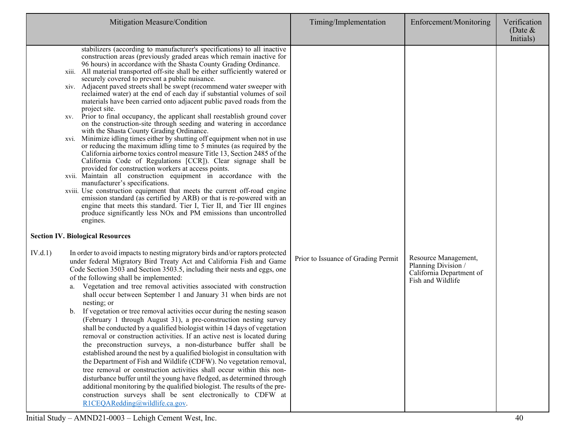|         | Mitigation Measure/Condition                                                                                                                                                                                                                                                                                                                                                                                                                                                                                                                                                                                                                                                                                                                                                                                                                                                                                                                                                                                                                                                                                                                                                                                                                                                                                                                                                                                                                                                                                                                                                                                                                     | Timing/Implementation               | Enforcement/Monitoring                                                                       | Verification<br>(Date $&$<br>Initials) |
|---------|--------------------------------------------------------------------------------------------------------------------------------------------------------------------------------------------------------------------------------------------------------------------------------------------------------------------------------------------------------------------------------------------------------------------------------------------------------------------------------------------------------------------------------------------------------------------------------------------------------------------------------------------------------------------------------------------------------------------------------------------------------------------------------------------------------------------------------------------------------------------------------------------------------------------------------------------------------------------------------------------------------------------------------------------------------------------------------------------------------------------------------------------------------------------------------------------------------------------------------------------------------------------------------------------------------------------------------------------------------------------------------------------------------------------------------------------------------------------------------------------------------------------------------------------------------------------------------------------------------------------------------------------------|-------------------------------------|----------------------------------------------------------------------------------------------|----------------------------------------|
| XVI.    | stabilizers (according to manufacturer's specifications) to all inactive<br>construction areas (previously graded areas which remain inactive for<br>96 hours) in accordance with the Shasta County Grading Ordinance.<br>xiii. All material transported off-site shall be either sufficiently watered or<br>securely covered to prevent a public nuisance.<br>xiv. Adjacent paved streets shall be swept (recommend water sweeper with<br>reclaimed water) at the end of each day if substantial volumes of soil<br>materials have been carried onto adjacent public paved roads from the<br>project site.<br>xv. Prior to final occupancy, the applicant shall reestablish ground cover<br>on the construction-site through seeding and watering in accordance<br>with the Shasta County Grading Ordinance.<br>Minimize idling times either by shutting off equipment when not in use<br>or reducing the maximum idling time to 5 minutes (as required by the<br>California airborne toxics control measure Title 13, Section 2485 of the<br>California Code of Regulations [CCR]). Clear signage shall be<br>provided for construction workers at access points.<br>xvii. Maintain all construction equipment in accordance with the<br>manufacturer's specifications.<br>xviii. Use construction equipment that meets the current off-road engine<br>emission standard (as certified by ARB) or that is re-powered with an<br>engine that meets this standard. Tier I, Tier II, and Tier III engines<br>produce significantly less NO <sub>x</sub> and PM emissions than uncontrolled<br>engines.<br><b>Section IV. Biological Resources</b> |                                     |                                                                                              |                                        |
| IV.d.1) | In order to avoid impacts to nesting migratory birds and/or raptors protected<br>under federal Migratory Bird Treaty Act and California Fish and Game<br>Code Section 3503 and Section 3503.5, including their nests and eggs, one<br>of the following shall be implemented:<br>a. Vegetation and tree removal activities associated with construction<br>shall occur between September 1 and January 31 when birds are not<br>nesting; or<br>If vegetation or tree removal activities occur during the nesting season<br>b.<br>(February 1 through August 31), a pre-construction nesting survey<br>shall be conducted by a qualified biologist within 14 days of vegetation<br>removal or construction activities. If an active nest is located during<br>the preconstruction surveys, a non-disturbance buffer shall be<br>established around the nest by a qualified biologist in consultation with<br>the Department of Fish and Wildlife (CDFW). No vegetation removal,<br>tree removal or construction activities shall occur within this non-<br>disturbance buffer until the young have fledged, as determined through<br>additional monitoring by the qualified biologist. The results of the pre-<br>construction surveys shall be sent electronically to CDFW at<br>R1CEQARedding@wildlife.ca.gov.                                                                                                                                                                                                                                                                                                                                   | Prior to Issuance of Grading Permit | Resource Management,<br>Planning Division /<br>California Department of<br>Fish and Wildlife |                                        |

Initial Study – AMND21-0003 – Lehigh Cement West, Inc. 40